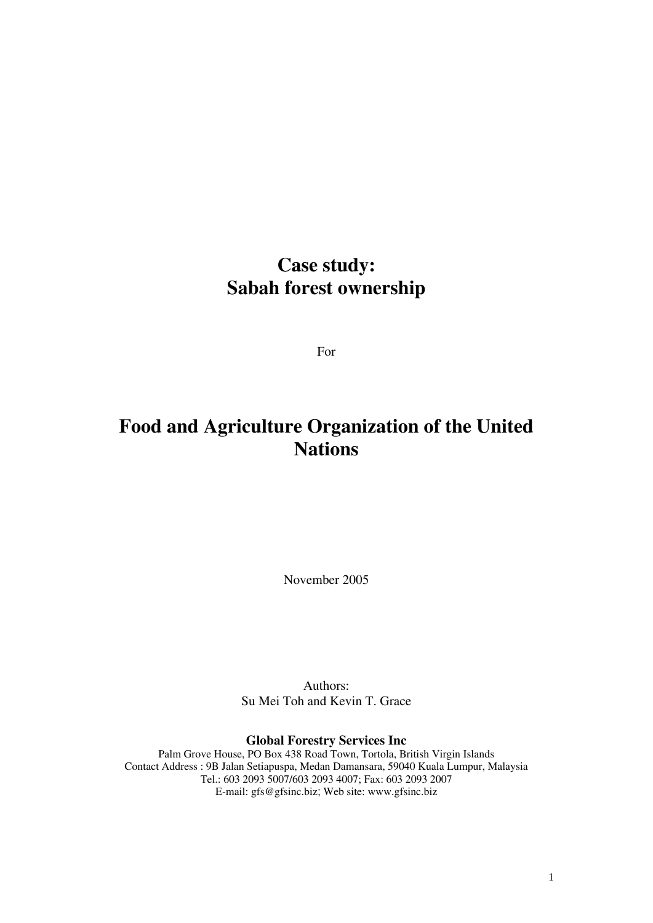## **Case study: Sabah forest ownership**

For

## **Food and Agriculture Organization of the United Nations**

November 2005

Authors: Su Mei Toh and Kevin T. Grace

**Global Forestry Services Inc**

Palm Grove House, PO Box 438 Road Town, Tortola, British Virgin Islands Contact Address : 9B Jalan Setiapuspa, Medan Damansara, 59040 Kuala Lumpur, Malaysia Tel.: 603 2093 5007/603 2093 4007; Fax: 603 2093 2007 E-mail: gfs@gfsinc.biz; Web site: www.gfsinc.biz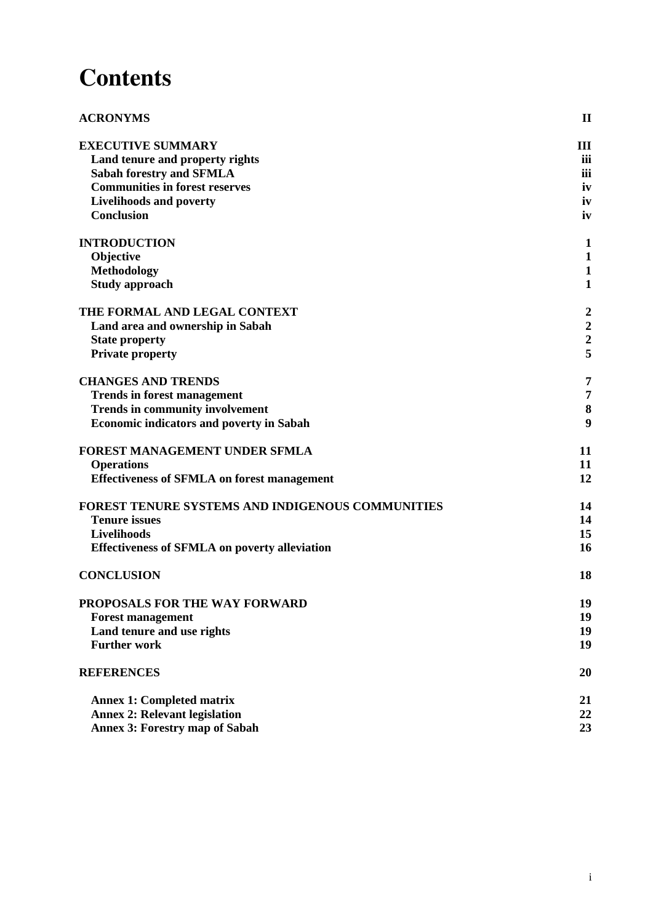# **Contents**

| <b>ACRONYMS</b>                                      | $\mathbf{I}$            |
|------------------------------------------------------|-------------------------|
| <b>EXECUTIVE SUMMARY</b>                             | Ш                       |
| Land tenure and property rights                      | iii                     |
| <b>Sabah forestry and SFMLA</b>                      | iii                     |
| <b>Communities in forest reserves</b>                | iv                      |
| <b>Livelihoods and poverty</b>                       | iv                      |
| <b>Conclusion</b>                                    | iv                      |
| <b>INTRODUCTION</b>                                  | $\mathbf{1}$            |
| Objective                                            | $\mathbf{1}$            |
| Methodology                                          | $\mathbf{1}$            |
| <b>Study approach</b>                                | $\mathbf{1}$            |
| THE FORMAL AND LEGAL CONTEXT                         | $\overline{\mathbf{c}}$ |
| Land area and ownership in Sabah                     |                         |
| <b>State property</b>                                | $\frac{2}{2}$           |
| <b>Private property</b>                              | 5                       |
| <b>CHANGES AND TRENDS</b>                            | 7                       |
| <b>Trends in forest management</b>                   | 7                       |
| <b>Trends in community involvement</b>               | 8                       |
| <b>Economic indicators and poverty in Sabah</b>      | 9                       |
| FOREST MANAGEMENT UNDER SFMLA                        | 11                      |
| <b>Operations</b>                                    | 11                      |
| <b>Effectiveness of SFMLA on forest management</b>   | 12                      |
| FOREST TENURE SYSTEMS AND INDIGENOUS COMMUNITIES     | 14                      |
| <b>Tenure issues</b>                                 | 14                      |
| Livelihoods                                          | 15                      |
| <b>Effectiveness of SFMLA on poverty alleviation</b> | 16                      |
| <b>CONCLUSION</b>                                    | 18                      |
| PROPOSALS FOR THE WAY FORWARD                        | 19                      |
| <b>Forest management</b>                             | 19                      |
| Land tenure and use rights                           | 19                      |
| <b>Further work</b>                                  | 19                      |
| <b>REFERENCES</b>                                    | 20                      |
| <b>Annex 1: Completed matrix</b>                     | 21                      |
| <b>Annex 2: Relevant legislation</b>                 | 22                      |
| <b>Annex 3: Forestry map of Sabah</b>                | 23                      |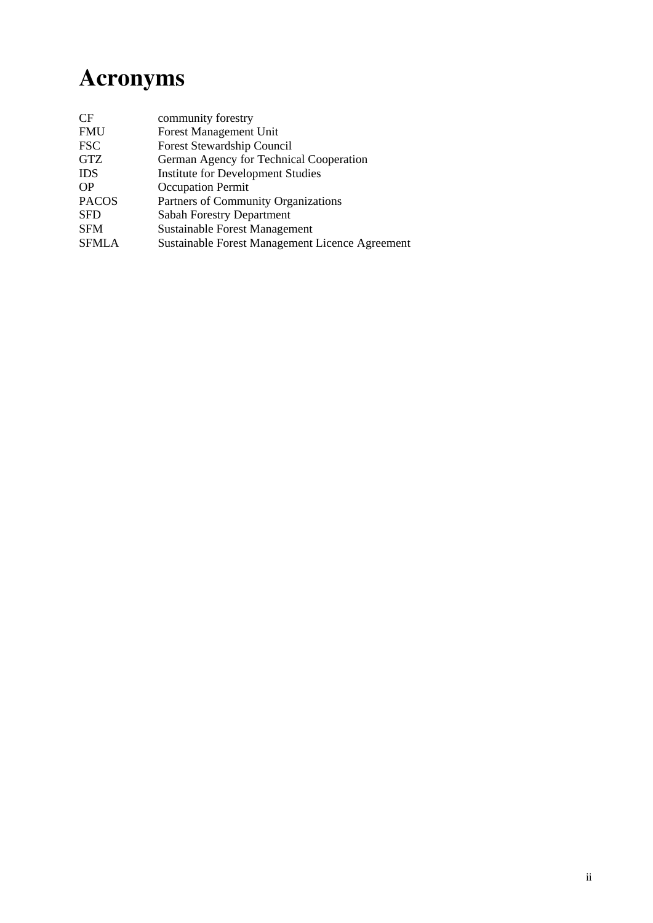# **Acronyms**

| CF           | community forestry                              |
|--------------|-------------------------------------------------|
| <b>FMU</b>   | <b>Forest Management Unit</b>                   |
| <b>FSC</b>   | Forest Stewardship Council                      |
| <b>GTZ</b>   | German Agency for Technical Cooperation         |
| <b>IDS</b>   | <b>Institute for Development Studies</b>        |
| <b>OP</b>    | <b>Occupation Permit</b>                        |
| <b>PACOS</b> | Partners of Community Organizations             |
| <b>SFD</b>   | <b>Sabah Forestry Department</b>                |
| <b>SFM</b>   | <b>Sustainable Forest Management</b>            |
| <b>SFMLA</b> | Sustainable Forest Management Licence Agreement |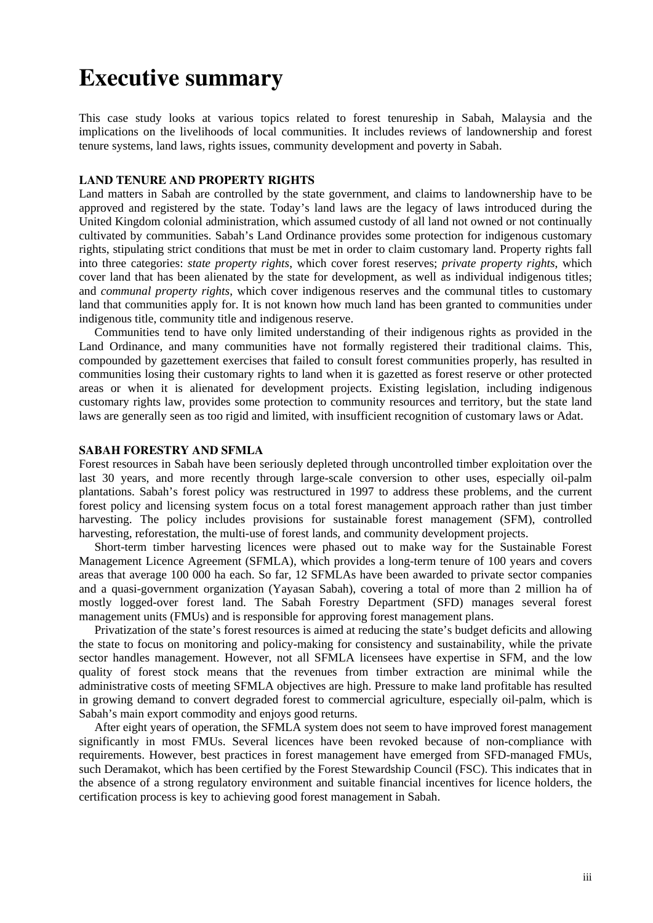## **Executive summary**

This case study looks at various topics related to forest tenureship in Sabah, Malaysia and the implications on the livelihoods of local communities. It includes reviews of landownership and forest tenure systems, land laws, rights issues, community development and poverty in Sabah.

### **LAND TENURE AND PROPERTY RIGHTS**

Land matters in Sabah are controlled by the state government, and claims to landownership have to be approved and registered by the state. Today's land laws are the legacy of laws introduced during the United Kingdom colonial administration, which assumed custody of all land not owned or not continually cultivated by communities. Sabah's Land Ordinance provides some protection for indigenous customary rights, stipulating strict conditions that must be met in order to claim customary land. Property rights fall into three categories: *state property rights*, which cover forest reserves; *private property rights*, which cover land that has been alienated by the state for development, as well as individual indigenous titles; and *communal property rights*, which cover indigenous reserves and the communal titles to customary land that communities apply for. It is not known how much land has been granted to communities under indigenous title, community title and indigenous reserve.

Communities tend to have only limited understanding of their indigenous rights as provided in the Land Ordinance, and many communities have not formally registered their traditional claims. This, compounded by gazettement exercises that failed to consult forest communities properly, has resulted in communities losing their customary rights to land when it is gazetted as forest reserve or other protected areas or when it is alienated for development projects. Existing legislation, including indigenous customary rights law, provides some protection to community resources and territory, but the state land laws are generally seen as too rigid and limited, with insufficient recognition of customary laws or Adat.

#### **SABAH FORESTRY AND SFMLA**

Forest resources in Sabah have been seriously depleted through uncontrolled timber exploitation over the last 30 years, and more recently through large-scale conversion to other uses, especially oil-palm plantations. Sabah's forest policy was restructured in 1997 to address these problems, and the current forest policy and licensing system focus on a total forest management approach rather than just timber harvesting. The policy includes provisions for sustainable forest management (SFM), controlled harvesting, reforestation, the multi-use of forest lands, and community development projects.

Short-term timber harvesting licences were phased out to make way for the Sustainable Forest Management Licence Agreement (SFMLA), which provides a long-term tenure of 100 years and covers areas that average 100 000 ha each. So far, 12 SFMLAs have been awarded to private sector companies and a quasi-government organization (Yayasan Sabah), covering a total of more than 2 million ha of mostly logged-over forest land. The Sabah Forestry Department (SFD) manages several forest management units (FMUs) and is responsible for approving forest management plans.

Privatization of the state's forest resources is aimed at reducing the state's budget deficits and allowing the state to focus on monitoring and policy-making for consistency and sustainability, while the private sector handles management. However, not all SFMLA licensees have expertise in SFM, and the low quality of forest stock means that the revenues from timber extraction are minimal while the administrative costs of meeting SFMLA objectives are high. Pressure to make land profitable has resulted in growing demand to convert degraded forest to commercial agriculture, especially oil-palm, which is Sabah's main export commodity and enjoys good returns.

After eight years of operation, the SFMLA system does not seem to have improved forest management significantly in most FMUs. Several licences have been revoked because of non-compliance with requirements. However, best practices in forest management have emerged from SFD-managed FMUs, such Deramakot, which has been certified by the Forest Stewardship Council (FSC). This indicates that in the absence of a strong regulatory environment and suitable financial incentives for licence holders, the certification process is key to achieving good forest management in Sabah.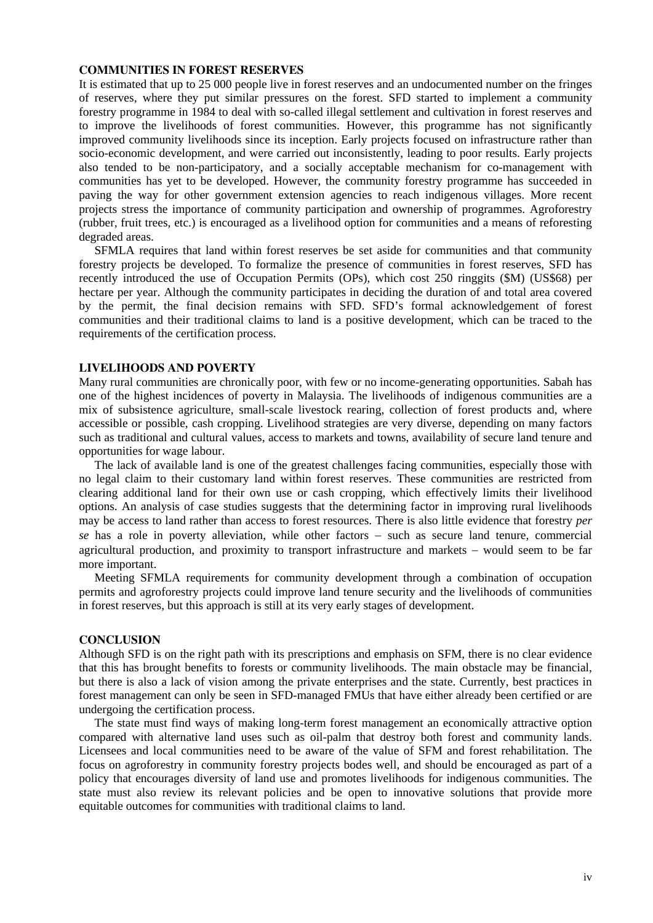#### **COMMUNITIES IN FOREST RESERVES**

It is estimated that up to 25 000 people live in forest reserves and an undocumented number on the fringes of reserves, where they put similar pressures on the forest. SFD started to implement a community forestry programme in 1984 to deal with so-called illegal settlement and cultivation in forest reserves and to improve the livelihoods of forest communities. However, this programme has not significantly improved community livelihoods since its inception. Early projects focused on infrastructure rather than socio-economic development, and were carried out inconsistently, leading to poor results. Early projects also tended to be non-participatory, and a socially acceptable mechanism for co-management with communities has yet to be developed. However, the community forestry programme has succeeded in paving the way for other government extension agencies to reach indigenous villages. More recent projects stress the importance of community participation and ownership of programmes. Agroforestry (rubber, fruit trees, etc.) is encouraged as a livelihood option for communities and a means of reforesting degraded areas.

SFMLA requires that land within forest reserves be set aside for communities and that community forestry projects be developed. To formalize the presence of communities in forest reserves, SFD has recently introduced the use of Occupation Permits (OPs), which cost 250 ringgits (\$M) (US\$68) per hectare per year. Although the community participates in deciding the duration of and total area covered by the permit, the final decision remains with SFD. SFD's formal acknowledgement of forest communities and their traditional claims to land is a positive development, which can be traced to the requirements of the certification process.

### **LIVELIHOODS AND POVERTY**

Many rural communities are chronically poor, with few or no income-generating opportunities. Sabah has one of the highest incidences of poverty in Malaysia. The livelihoods of indigenous communities are a mix of subsistence agriculture, small-scale livestock rearing, collection of forest products and, where accessible or possible, cash cropping. Livelihood strategies are very diverse, depending on many factors such as traditional and cultural values, access to markets and towns, availability of secure land tenure and opportunities for wage labour.

The lack of available land is one of the greatest challenges facing communities, especially those with no legal claim to their customary land within forest reserves. These communities are restricted from clearing additional land for their own use or cash cropping, which effectively limits their livelihood options. An analysis of case studies suggests that the determining factor in improving rural livelihoods may be access to land rather than access to forest resources. There is also little evidence that forestry *per se* has a role in poverty alleviation, while other factors − such as secure land tenure, commercial agricultural production, and proximity to transport infrastructure and markets − would seem to be far more important.

Meeting SFMLA requirements for community development through a combination of occupation permits and agroforestry projects could improve land tenure security and the livelihoods of communities in forest reserves, but this approach is still at its very early stages of development.

### **CONCLUSION**

Although SFD is on the right path with its prescriptions and emphasis on SFM, there is no clear evidence that this has brought benefits to forests or community livelihoods. The main obstacle may be financial, but there is also a lack of vision among the private enterprises and the state. Currently, best practices in forest management can only be seen in SFD-managed FMUs that have either already been certified or are undergoing the certification process.

The state must find ways of making long-term forest management an economically attractive option compared with alternative land uses such as oil-palm that destroy both forest and community lands. Licensees and local communities need to be aware of the value of SFM and forest rehabilitation. The focus on agroforestry in community forestry projects bodes well, and should be encouraged as part of a policy that encourages diversity of land use and promotes livelihoods for indigenous communities. The state must also review its relevant policies and be open to innovative solutions that provide more equitable outcomes for communities with traditional claims to land.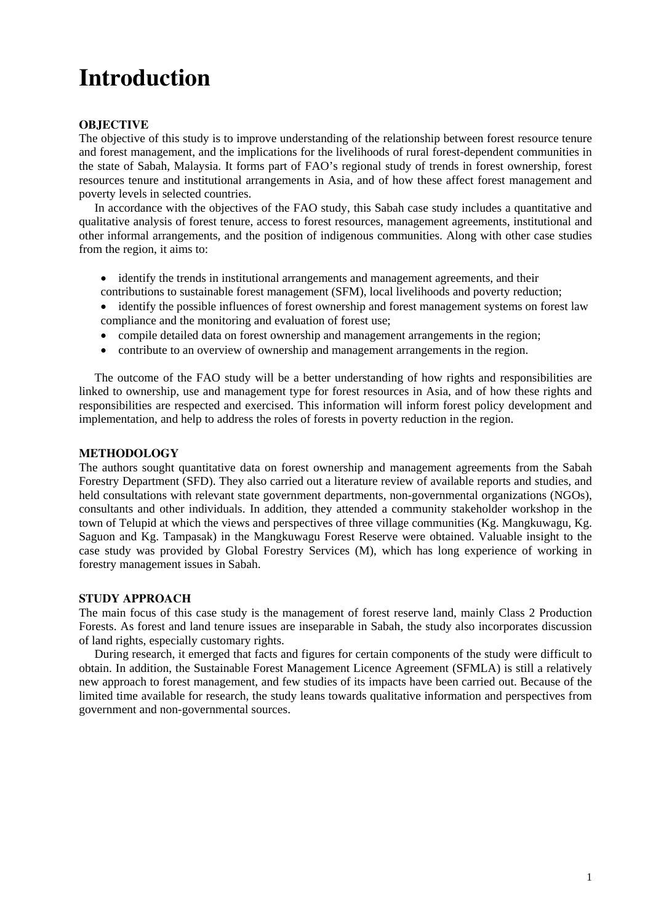## **Introduction**

## **OBJECTIVE**

The objective of this study is to improve understanding of the relationship between forest resource tenure and forest management, and the implications for the livelihoods of rural forest-dependent communities in the state of Sabah, Malaysia. It forms part of FAO's regional study of trends in forest ownership, forest resources tenure and institutional arrangements in Asia, and of how these affect forest management and poverty levels in selected countries.

In accordance with the objectives of the FAO study, this Sabah case study includes a quantitative and qualitative analysis of forest tenure, access to forest resources, management agreements, institutional and other informal arrangements, and the position of indigenous communities. Along with other case studies from the region, it aims to:

- identify the trends in institutional arrangements and management agreements, and their
- contributions to sustainable forest management (SFM), local livelihoods and poverty reduction;
- identify the possible influences of forest ownership and forest management systems on forest law compliance and the monitoring and evaluation of forest use;
- compile detailed data on forest ownership and management arrangements in the region;
- contribute to an overview of ownership and management arrangements in the region.

The outcome of the FAO study will be a better understanding of how rights and responsibilities are linked to ownership, use and management type for forest resources in Asia, and of how these rights and responsibilities are respected and exercised. This information will inform forest policy development and implementation, and help to address the roles of forests in poverty reduction in the region.

## **METHODOLOGY**

The authors sought quantitative data on forest ownership and management agreements from the Sabah Forestry Department (SFD). They also carried out a literature review of available reports and studies, and held consultations with relevant state government departments, non-governmental organizations (NGOs), consultants and other individuals. In addition, they attended a community stakeholder workshop in the town of Telupid at which the views and perspectives of three village communities (Kg. Mangkuwagu, Kg. Saguon and Kg. Tampasak) in the Mangkuwagu Forest Reserve were obtained. Valuable insight to the case study was provided by Global Forestry Services (M), which has long experience of working in forestry management issues in Sabah.

## **STUDY APPROACH**

The main focus of this case study is the management of forest reserve land, mainly Class 2 Production Forests. As forest and land tenure issues are inseparable in Sabah, the study also incorporates discussion of land rights, especially customary rights.

During research, it emerged that facts and figures for certain components of the study were difficult to obtain. In addition, the Sustainable Forest Management Licence Agreement (SFMLA) is still a relatively new approach to forest management, and few studies of its impacts have been carried out. Because of the limited time available for research, the study leans towards qualitative information and perspectives from government and non-governmental sources.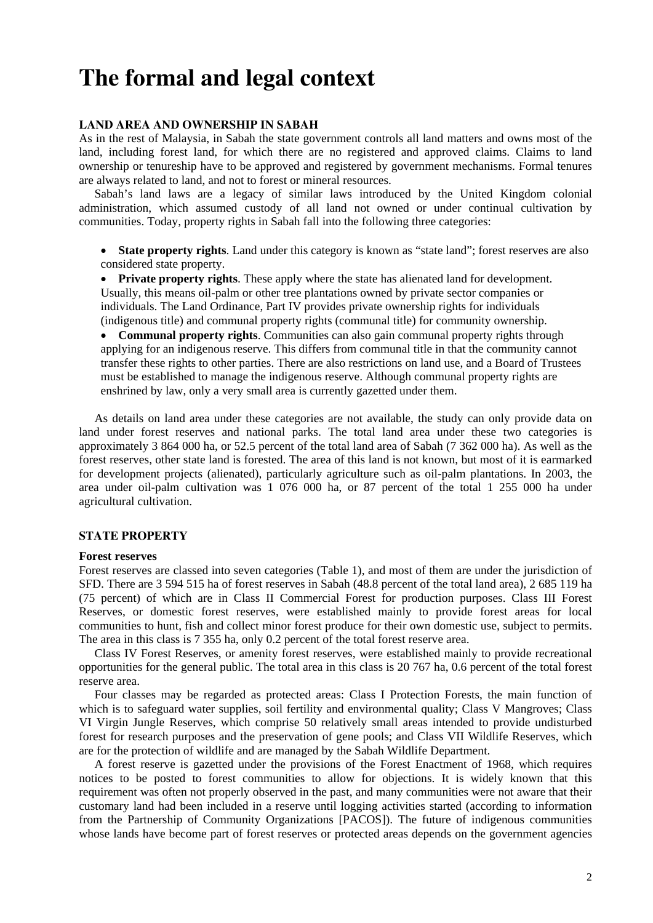## **The formal and legal context**

### **LAND AREA AND OWNERSHIP IN SABAH**

As in the rest of Malaysia, in Sabah the state government controls all land matters and owns most of the land, including forest land, for which there are no registered and approved claims. Claims to land ownership or tenureship have to be approved and registered by government mechanisms. Formal tenures are always related to land, and not to forest or mineral resources.

Sabah's land laws are a legacy of similar laws introduced by the United Kingdom colonial administration, which assumed custody of all land not owned or under continual cultivation by communities. Today, property rights in Sabah fall into the following three categories:

• **State property rights**. Land under this category is known as "state land"; forest reserves are also considered state property.

• **Private property rights**. These apply where the state has alienated land for development. Usually, this means oil-palm or other tree plantations owned by private sector companies or individuals. The Land Ordinance, Part IV provides private ownership rights for individuals (indigenous title) and communal property rights (communal title) for community ownership.

• **Communal property rights**. Communities can also gain communal property rights through applying for an indigenous reserve. This differs from communal title in that the community cannot transfer these rights to other parties. There are also restrictions on land use, and a Board of Trustees must be established to manage the indigenous reserve. Although communal property rights are enshrined by law, only a very small area is currently gazetted under them.

As details on land area under these categories are not available, the study can only provide data on land under forest reserves and national parks. The total land area under these two categories is approximately 3 864 000 ha, or 52.5 percent of the total land area of Sabah (7 362 000 ha). As well as the forest reserves, other state land is forested. The area of this land is not known, but most of it is earmarked for development projects (alienated), particularly agriculture such as oil-palm plantations. In 2003, the area under oil-palm cultivation was 1 076 000 ha, or 87 percent of the total 1 255 000 ha under agricultural cultivation.

#### **STATE PROPERTY**

#### **Forest reserves**

Forest reserves are classed into seven categories (Table 1), and most of them are under the jurisdiction of SFD. There are 3 594 515 ha of forest reserves in Sabah (48.8 percent of the total land area), 2 685 119 ha (75 percent) of which are in Class II Commercial Forest for production purposes. Class III Forest Reserves, or domestic forest reserves, were established mainly to provide forest areas for local communities to hunt, fish and collect minor forest produce for their own domestic use, subject to permits. The area in this class is 7 355 ha, only 0.2 percent of the total forest reserve area.

Class IV Forest Reserves, or amenity forest reserves, were established mainly to provide recreational opportunities for the general public. The total area in this class is 20 767 ha, 0.6 percent of the total forest reserve area.

Four classes may be regarded as protected areas: Class I Protection Forests, the main function of which is to safeguard water supplies, soil fertility and environmental quality; Class V Mangroves; Class VI Virgin Jungle Reserves, which comprise 50 relatively small areas intended to provide undisturbed forest for research purposes and the preservation of gene pools; and Class VII Wildlife Reserves, which are for the protection of wildlife and are managed by the Sabah Wildlife Department.

A forest reserve is gazetted under the provisions of the Forest Enactment of 1968, which requires notices to be posted to forest communities to allow for objections. It is widely known that this requirement was often not properly observed in the past, and many communities were not aware that their customary land had been included in a reserve until logging activities started (according to information from the Partnership of Community Organizations [PACOS]). The future of indigenous communities whose lands have become part of forest reserves or protected areas depends on the government agencies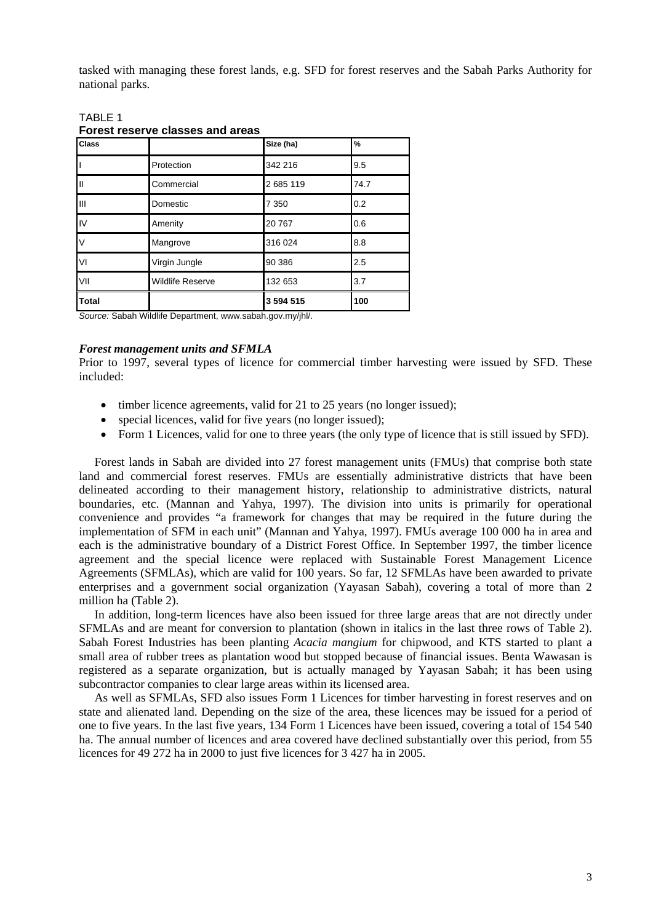tasked with managing these forest lands, e.g. SFD for forest reserves and the Sabah Parks Authority for national parks.

| <b>Class</b> |                         | Size (ha) | $\%$ |
|--------------|-------------------------|-----------|------|
|              | Protection              | 342 216   | 9.5  |
| Ш            | Commercial              | 2685119   | 74.7 |
| Ш            | Domestic                | 7 3 5 0   | 0.2  |
| IV           | Amenity                 | 20767     | 0.6  |
| V            | Mangrove                | 316 024   | 8.8  |
| VI           | Virgin Jungle           | 90 386    | 2.5  |
| VII          | <b>Wildlife Reserve</b> | 132 653   | 3.7  |
| <b>Total</b> |                         | 3 594 515 | 100  |

## TABLE 1 **Forest reserve classes and areas**

*Source:* Sabah Wildlife Department, www.sabah.gov.my/jhl/.

### *Forest management units and SFMLA*

Prior to 1997, several types of licence for commercial timber harvesting were issued by SFD. These included:

- timber licence agreements, valid for 21 to 25 years (no longer issued);
- special licences, valid for five years (no longer issued);
- Form 1 Licences, valid for one to three years (the only type of licence that is still issued by SFD).

Forest lands in Sabah are divided into 27 forest management units (FMUs) that comprise both state land and commercial forest reserves. FMUs are essentially administrative districts that have been delineated according to their management history, relationship to administrative districts, natural boundaries, etc. (Mannan and Yahya, 1997). The division into units is primarily for operational convenience and provides "a framework for changes that may be required in the future during the implementation of SFM in each unit" (Mannan and Yahya, 1997). FMUs average 100 000 ha in area and each is the administrative boundary of a District Forest Office. In September 1997, the timber licence agreement and the special licence were replaced with Sustainable Forest Management Licence Agreements (SFMLAs), which are valid for 100 years. So far, 12 SFMLAs have been awarded to private enterprises and a government social organization (Yayasan Sabah), covering a total of more than 2 million ha (Table 2).

In addition, long-term licences have also been issued for three large areas that are not directly under SFMLAs and are meant for conversion to plantation (shown in italics in the last three rows of Table 2). Sabah Forest Industries has been planting *Acacia mangium* for chipwood, and KTS started to plant a small area of rubber trees as plantation wood but stopped because of financial issues. Benta Wawasan is registered as a separate organization, but is actually managed by Yayasan Sabah; it has been using subcontractor companies to clear large areas within its licensed area.

As well as SFMLAs, SFD also issues Form 1 Licences for timber harvesting in forest reserves and on state and alienated land. Depending on the size of the area, these licences may be issued for a period of one to five years. In the last five years, 134 Form 1 Licences have been issued, covering a total of 154 540 ha. The annual number of licences and area covered have declined substantially over this period, from 55 licences for 49 272 ha in 2000 to just five licences for 3 427 ha in 2005.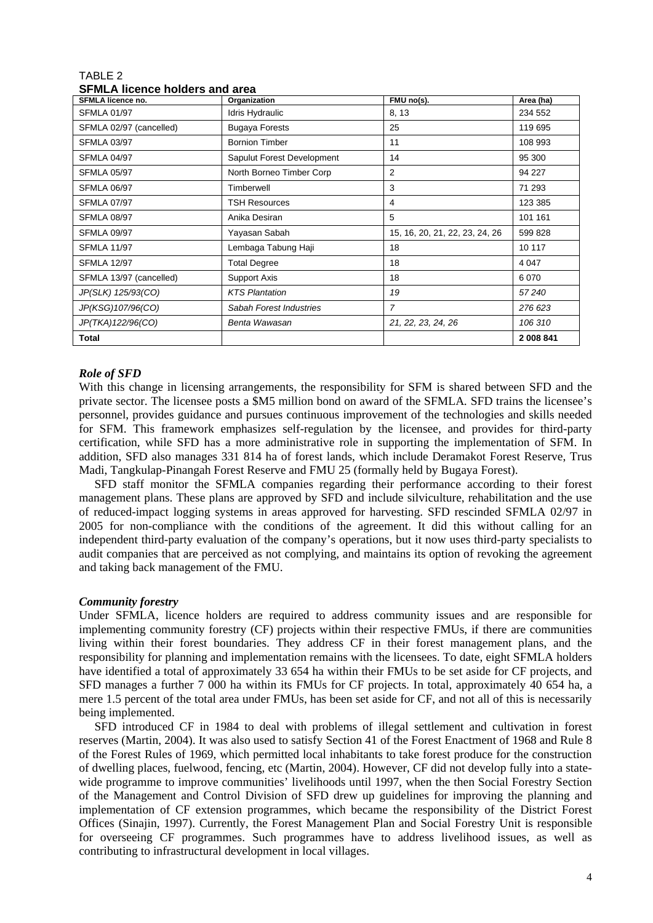| OI MLA IIUCIIUC IIUIUCI S AIIU AI CA |                            |                                |           |  |  |
|--------------------------------------|----------------------------|--------------------------------|-----------|--|--|
| <b>SFMLA licence no.</b>             | Organization               | FMU no(s).                     | Area (ha) |  |  |
| <b>SFMLA 01/97</b>                   | Idris Hydraulic            | 8, 13                          | 234 552   |  |  |
| SFMLA 02/97 (cancelled)              | <b>Bugaya Forests</b>      | 25                             | 119 695   |  |  |
| <b>SFMLA 03/97</b>                   | <b>Bornion Timber</b>      | 11                             | 108 993   |  |  |
| <b>SFMLA 04/97</b>                   | Sapulut Forest Development | 14                             | 95 300    |  |  |
| <b>SFMLA 05/97</b>                   | North Borneo Timber Corp   | 2                              | 94 227    |  |  |
| <b>SFMLA 06/97</b>                   | Timberwell                 | 3                              | 71 293    |  |  |
| <b>SFMLA 07/97</b>                   | <b>TSH Resources</b>       | 4                              | 123 385   |  |  |
| <b>SFMLA 08/97</b>                   | Anika Desiran              | 5                              | 101 161   |  |  |
| <b>SFMLA 09/97</b>                   | Yayasan Sabah              | 15, 16, 20, 21, 22, 23, 24, 26 | 599 828   |  |  |
| <b>SFMLA 11/97</b>                   | Lembaga Tabung Haji        | 18                             | 10 117    |  |  |
| <b>SFMLA 12/97</b>                   | <b>Total Degree</b>        | 18                             | 4 0 4 7   |  |  |
| SFMLA 13/97 (cancelled)              | Support Axis               | 18                             | 6 0 7 0   |  |  |
| JP(SLK) 125/93(CO)                   | <b>KTS Plantation</b>      | 19                             | 57240     |  |  |
| JP(KSG)107/96(CO)                    | Sabah Forest Industries    | $\overline{7}$                 | 276 623   |  |  |
| JP(TKA)122/96(CO)                    | Benta Wawasan              | 21, 22, 23, 24, 26             | 106 310   |  |  |
| Total                                |                            |                                | 2 008 841 |  |  |

## TABLE 2 **SFMLA licence holders and area**

## *Role of SFD*

With this change in licensing arrangements, the responsibility for SFM is shared between SFD and the private sector. The licensee posts a \$M5 million bond on award of the SFMLA*.* SFD trains the licensee's personnel, provides guidance and pursues continuous improvement of the technologies and skills needed for SFM. This framework emphasizes self-regulation by the licensee, and provides for third-party certification, while SFD has a more administrative role in supporting the implementation of SFM. In addition, SFD also manages 331 814 ha of forest lands, which include Deramakot Forest Reserve, Trus Madi, Tangkulap-Pinangah Forest Reserve and FMU 25 (formally held by Bugaya Forest).

SFD staff monitor the SFMLA companies regarding their performance according to their forest management plans. These plans are approved by SFD and include silviculture, rehabilitation and the use of reduced-impact logging systems in areas approved for harvesting. SFD rescinded SFMLA 02/97 in 2005 for non-compliance with the conditions of the agreement. It did this without calling for an independent third-party evaluation of the company's operations, but it now uses third-party specialists to audit companies that are perceived as not complying, and maintains its option of revoking the agreement and taking back management of the FMU.

## *Community forestry*

Under SFMLA, licence holders are required to address community issues and are responsible for implementing community forestry (CF) projects within their respective FMUs, if there are communities living within their forest boundaries. They address CF in their forest management plans, and the responsibility for planning and implementation remains with the licensees. To date, eight SFMLA holders have identified a total of approximately 33 654 ha within their FMUs to be set aside for CF projects, and SFD manages a further 7 000 ha within its FMUs for CF projects. In total, approximately 40 654 ha, a mere 1.5 percent of the total area under FMUs, has been set aside for CF, and not all of this is necessarily being implemented.

SFD introduced CF in 1984 to deal with problems of illegal settlement and cultivation in forest reserves (Martin, 2004). It was also used to satisfy Section 41 of the Forest Enactment of 1968 and Rule 8 of the Forest Rules of 1969, which permitted local inhabitants to take forest produce for the construction of dwelling places, fuelwood, fencing, etc (Martin, 2004). However, CF did not develop fully into a statewide programme to improve communities' livelihoods until 1997, when the then Social Forestry Section of the Management and Control Division of SFD drew up guidelines for improving the planning and implementation of CF extension programmes, which became the responsibility of the District Forest Offices (Sinajin, 1997). Currently, the Forest Management Plan and Social Forestry Unit is responsible for overseeing CF programmes. Such programmes have to address livelihood issues, as well as contributing to infrastructural development in local villages.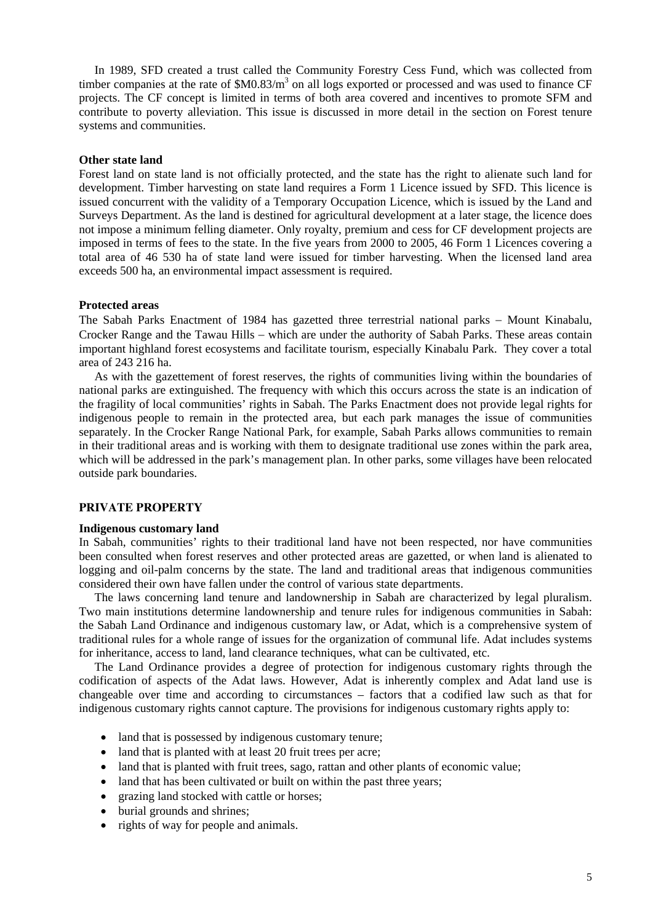In 1989, SFD created a trust called the Community Forestry Cess Fund, which was collected from timber companies at the rate of  $M0.83/m<sup>3</sup>$  on all logs exported or processed and was used to finance CF projects. The CF concept is limited in terms of both area covered and incentives to promote SFM and contribute to poverty alleviation. This issue is discussed in more detail in the section on Forest tenure systems and communities.

#### **Other state land**

Forest land on state land is not officially protected, and the state has the right to alienate such land for development. Timber harvesting on state land requires a Form 1 Licence issued by SFD. This licence is issued concurrent with the validity of a Temporary Occupation Licence, which is issued by the Land and Surveys Department. As the land is destined for agricultural development at a later stage, the licence does not impose a minimum felling diameter. Only royalty, premium and cess for CF development projects are imposed in terms of fees to the state. In the five years from 2000 to 2005, 46 Form 1 Licences covering a total area of 46 530 ha of state land were issued for timber harvesting. When the licensed land area exceeds 500 ha, an environmental impact assessment is required.

### **Protected areas**

The Sabah Parks Enactment of 1984 has gazetted three terrestrial national parks − Mount Kinabalu, Crocker Range and the Tawau Hills − which are under the authority of Sabah Parks. These areas contain important highland forest ecosystems and facilitate tourism, especially Kinabalu Park. They cover a total area of 243 216 ha.

As with the gazettement of forest reserves, the rights of communities living within the boundaries of national parks are extinguished. The frequency with which this occurs across the state is an indication of the fragility of local communities' rights in Sabah. The Parks Enactment does not provide legal rights for indigenous people to remain in the protected area, but each park manages the issue of communities separately. In the Crocker Range National Park, for example, Sabah Parks allows communities to remain in their traditional areas and is working with them to designate traditional use zones within the park area, which will be addressed in the park's management plan. In other parks, some villages have been relocated outside park boundaries.

#### **PRIVATE PROPERTY**

#### **Indigenous customary land**

In Sabah, communities' rights to their traditional land have not been respected, nor have communities been consulted when forest reserves and other protected areas are gazetted, or when land is alienated to logging and oil-palm concerns by the state. The land and traditional areas that indigenous communities considered their own have fallen under the control of various state departments.

The laws concerning land tenure and landownership in Sabah are characterized by legal pluralism. Two main institutions determine landownership and tenure rules for indigenous communities in Sabah: the Sabah Land Ordinance and indigenous customary law, or Adat, which is a comprehensive system of traditional rules for a whole range of issues for the organization of communal life. Adat includes systems for inheritance, access to land, land clearance techniques, what can be cultivated, etc.

The Land Ordinance provides a degree of protection for indigenous customary rights through the codification of aspects of the Adat laws. However, Adat is inherently complex and Adat land use is changeable over time and according to circumstances – factors that a codified law such as that for indigenous customary rights cannot capture. The provisions for indigenous customary rights apply to:

- land that is possessed by indigenous customary tenure;
- land that is planted with at least 20 fruit trees per acre;
- land that is planted with fruit trees, sago, rattan and other plants of economic value;
- land that has been cultivated or built on within the past three years;
- grazing land stocked with cattle or horses;
- burial grounds and shrines:
- rights of way for people and animals.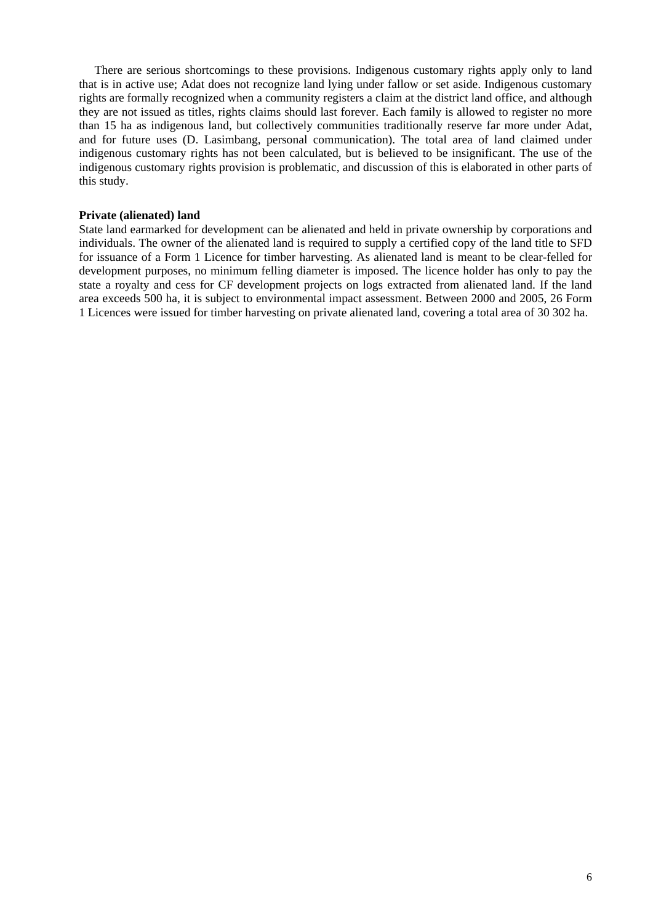There are serious shortcomings to these provisions. Indigenous customary rights apply only to land that is in active use; Adat does not recognize land lying under fallow or set aside. Indigenous customary rights are formally recognized when a community registers a claim at the district land office, and although they are not issued as titles, rights claims should last forever. Each family is allowed to register no more than 15 ha as indigenous land, but collectively communities traditionally reserve far more under Adat, and for future uses (D. Lasimbang, personal communication). The total area of land claimed under indigenous customary rights has not been calculated, but is believed to be insignificant. The use of the indigenous customary rights provision is problematic, and discussion of this is elaborated in other parts of this study.

#### **Private (alienated) land**

State land earmarked for development can be alienated and held in private ownership by corporations and individuals. The owner of the alienated land is required to supply a certified copy of the land title to SFD for issuance of a Form 1 Licence for timber harvesting. As alienated land is meant to be clear-felled for development purposes, no minimum felling diameter is imposed. The licence holder has only to pay the state a royalty and cess for CF development projects on logs extracted from alienated land. If the land area exceeds 500 ha, it is subject to environmental impact assessment. Between 2000 and 2005, 26 Form 1 Licences were issued for timber harvesting on private alienated land, covering a total area of 30 302 ha.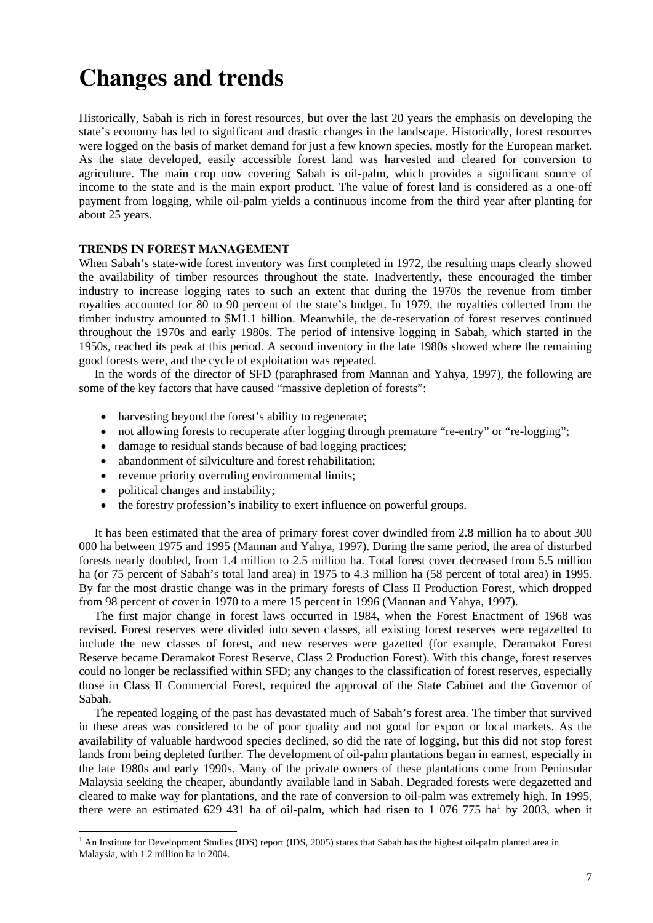## **Changes and trends**

Historically, Sabah is rich in forest resources, but over the last 20 years the emphasis on developing the state's economy has led to significant and drastic changes in the landscape. Historically, forest resources were logged on the basis of market demand for just a few known species, mostly for the European market. As the state developed, easily accessible forest land was harvested and cleared for conversion to agriculture. The main crop now covering Sabah is oil-palm, which provides a significant source of income to the state and is the main export product. The value of forest land is considered as a one-off payment from logging, while oil-palm yields a continuous income from the third year after planting for about 25 years.

## **TRENDS IN FOREST MANAGEMENT**

When Sabah's state-wide forest inventory was first completed in 1972, the resulting maps clearly showed the availability of timber resources throughout the state. Inadvertently, these encouraged the timber industry to increase logging rates to such an extent that during the 1970s the revenue from timber royalties accounted for 80 to 90 percent of the state's budget. In 1979, the royalties collected from the timber industry amounted to \$M1.1 billion. Meanwhile, the de-reservation of forest reserves continued throughout the 1970s and early 1980s. The period of intensive logging in Sabah, which started in the 1950s, reached its peak at this period. A second inventory in the late 1980s showed where the remaining good forests were, and the cycle of exploitation was repeated.

In the words of the director of SFD (paraphrased from Mannan and Yahya, 1997), the following are some of the key factors that have caused "massive depletion of forests":

- harvesting beyond the forest's ability to regenerate;
- not allowing forests to recuperate after logging through premature "re-entry" or "re-logging";
- damage to residual stands because of bad logging practices;
- abandonment of silviculture and forest rehabilitation;
- revenue priority overruling environmental limits:
- political changes and instability;
- the forestry profession's inability to exert influence on powerful groups.

It has been estimated that the area of primary forest cover dwindled from 2.8 million ha to about 300 000 ha between 1975 and 1995 (Mannan and Yahya, 1997). During the same period, the area of disturbed forests nearly doubled, from 1.4 million to 2.5 million ha. Total forest cover decreased from 5.5 million ha (or 75 percent of Sabah's total land area) in 1975 to 4.3 million ha (58 percent of total area) in 1995. By far the most drastic change was in the primary forests of Class II Production Forest, which dropped from 98 percent of cover in 1970 to a mere 15 percent in 1996 (Mannan and Yahya, 1997).

The first major change in forest laws occurred in 1984, when the Forest Enactment of 1968 was revised. Forest reserves were divided into seven classes, all existing forest reserves were regazetted to include the new classes of forest, and new reserves were gazetted (for example, Deramakot Forest Reserve became Deramakot Forest Reserve, Class 2 Production Forest). With this change, forest reserves could no longer be reclassified within SFD; any changes to the classification of forest reserves, especially those in Class II Commercial Forest, required the approval of the State Cabinet and the Governor of Sabah.

The repeated logging of the past has devastated much of Sabah's forest area. The timber that survived in these areas was considered to be of poor quality and not good for export or local markets. As the availability of valuable hardwood species declined, so did the rate of logging, but this did not stop forest lands from being depleted further. The development of oil-palm plantations began in earnest, especially in the late 1980s and early 1990s. Many of the private owners of these plantations come from Peninsular Malaysia seeking the cheaper, abundantly available land in Sabah. Degraded forests were degazetted and cleared to make way for plantations, and the rate of conversion to oil-palm was extremely high. In 1995, there were an estimated 629 431 ha of oil-palm, which had risen to 1 076 775 ha<sup>1</sup> by 2003, when it

<sup>&</sup>lt;sup>1</sup> An Institute for Development Studies (IDS) report (IDS, 2005) states that Sabah has the highest oil-palm planted area in Malaysia, with 1.2 million ha in 2004.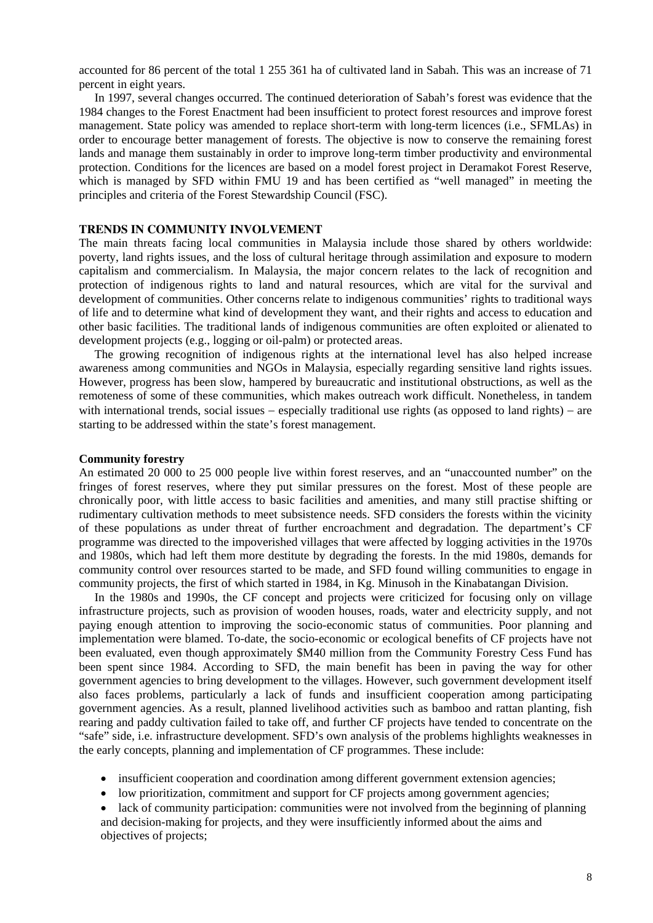accounted for 86 percent of the total 1 255 361 ha of cultivated land in Sabah. This was an increase of 71 percent in eight years.

In 1997, several changes occurred. The continued deterioration of Sabah's forest was evidence that the 1984 changes to the Forest Enactment had been insufficient to protect forest resources and improve forest management. State policy was amended to replace short-term with long-term licences (i.e., SFMLAs) in order to encourage better management of forests. The objective is now to conserve the remaining forest lands and manage them sustainably in order to improve long-term timber productivity and environmental protection. Conditions for the licences are based on a model forest project in Deramakot Forest Reserve, which is managed by SFD within FMU 19 and has been certified as "well managed" in meeting the principles and criteria of the Forest Stewardship Council (FSC).

### **TRENDS IN COMMUNITY INVOLVEMENT**

The main threats facing local communities in Malaysia include those shared by others worldwide: poverty, land rights issues, and the loss of cultural heritage through assimilation and exposure to modern capitalism and commercialism. In Malaysia, the major concern relates to the lack of recognition and protection of indigenous rights to land and natural resources, which are vital for the survival and development of communities. Other concerns relate to indigenous communities' rights to traditional ways of life and to determine what kind of development they want, and their rights and access to education and other basic facilities. The traditional lands of indigenous communities are often exploited or alienated to development projects (e.g., logging or oil-palm) or protected areas.

The growing recognition of indigenous rights at the international level has also helped increase awareness among communities and NGOs in Malaysia, especially regarding sensitive land rights issues. However, progress has been slow, hampered by bureaucratic and institutional obstructions, as well as the remoteness of some of these communities, which makes outreach work difficult. Nonetheless, in tandem with international trends, social issues – especially traditional use rights (as opposed to land rights) – are starting to be addressed within the state's forest management.

#### **Community forestry**

An estimated 20 000 to 25 000 people live within forest reserves, and an "unaccounted number" on the fringes of forest reserves, where they put similar pressures on the forest. Most of these people are chronically poor, with little access to basic facilities and amenities, and many still practise shifting or rudimentary cultivation methods to meet subsistence needs. SFD considers the forests within the vicinity of these populations as under threat of further encroachment and degradation. The department's CF programme was directed to the impoverished villages that were affected by logging activities in the 1970s and 1980s, which had left them more destitute by degrading the forests. In the mid 1980s, demands for community control over resources started to be made, and SFD found willing communities to engage in community projects, the first of which started in 1984, in Kg. Minusoh in the Kinabatangan Division.

In the 1980s and 1990s, the CF concept and projects were criticized for focusing only on village infrastructure projects, such as provision of wooden houses, roads, water and electricity supply, and not paying enough attention to improving the socio-economic status of communities. Poor planning and implementation were blamed. To-date, the socio-economic or ecological benefits of CF projects have not been evaluated, even though approximately \$M40 million from the Community Forestry Cess Fund has been spent since 1984. According to SFD, the main benefit has been in paving the way for other government agencies to bring development to the villages. However, such government development itself also faces problems, particularly a lack of funds and insufficient cooperation among participating government agencies. As a result, planned livelihood activities such as bamboo and rattan planting, fish rearing and paddy cultivation failed to take off, and further CF projects have tended to concentrate on the "safe" side, i.e. infrastructure development. SFD's own analysis of the problems highlights weaknesses in the early concepts, planning and implementation of CF programmes. These include:

- insufficient cooperation and coordination among different government extension agencies;
- low prioritization, commitment and support for CF projects among government agencies;
- lack of community participation: communities were not involved from the beginning of planning and decision-making for projects, and they were insufficiently informed about the aims and objectives of projects;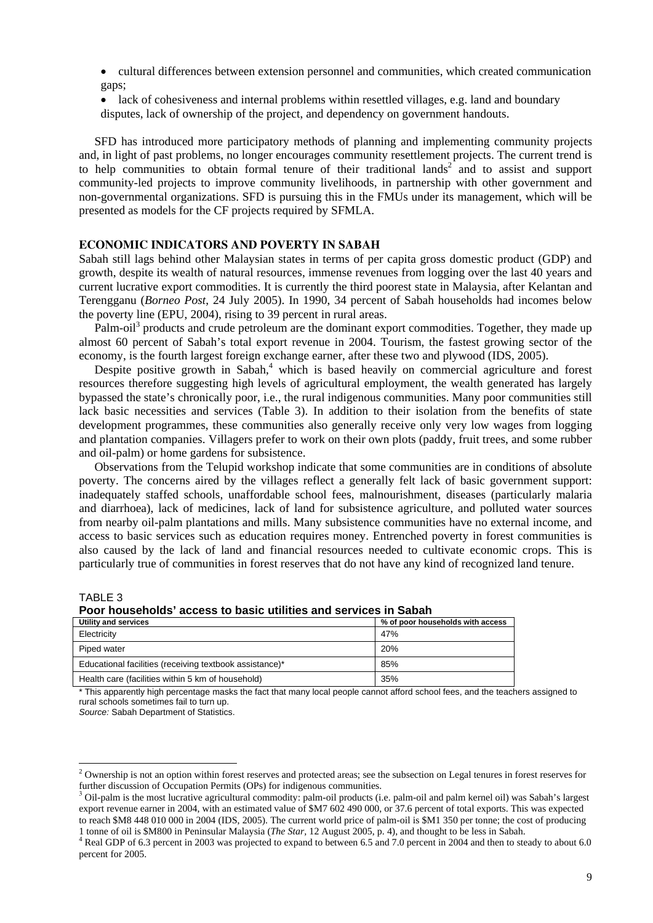- cultural differences between extension personnel and communities, which created communication gaps;
- lack of cohesiveness and internal problems within resettled villages, e.g. land and boundary disputes, lack of ownership of the project, and dependency on government handouts.

SFD has introduced more participatory methods of planning and implementing community projects and, in light of past problems, no longer encourages community resettlement projects. The current trend is to help communities to obtain formal tenure of their traditional lands<sup>2</sup> and to assist and support community-led projects to improve community livelihoods, in partnership with other government and non-governmental organizations. SFD is pursuing this in the FMUs under its management, which will be presented as models for the CF projects required by SFMLA.

## **ECONOMIC INDICATORS AND POVERTY IN SABAH**

Sabah still lags behind other Malaysian states in terms of per capita gross domestic product (GDP) and growth, despite its wealth of natural resources, immense revenues from logging over the last 40 years and current lucrative export commodities. It is currently the third poorest state in Malaysia, after Kelantan and Terengganu (*Borneo Post*, 24 July 2005). In 1990, 34 percent of Sabah households had incomes below the poverty line (EPU, 2004), rising to 39 percent in rural areas.

Palm-oil<sup>3</sup> products and crude petroleum are the dominant export commodities. Together, they made up almost 60 percent of Sabah's total export revenue in 2004. Tourism, the fastest growing sector of the economy, is the fourth largest foreign exchange earner, after these two and plywood (IDS, 2005).

Despite positive growth in Sabah,<sup>4</sup> which is based heavily on commercial agriculture and forest resources therefore suggesting high levels of agricultural employment, the wealth generated has largely bypassed the state's chronically poor, i.e., the rural indigenous communities. Many poor communities still lack basic necessities and services (Table 3). In addition to their isolation from the benefits of state development programmes, these communities also generally receive only very low wages from logging and plantation companies. Villagers prefer to work on their own plots (paddy, fruit trees, and some rubber and oil-palm) or home gardens for subsistence.

Observations from the Telupid workshop indicate that some communities are in conditions of absolute poverty. The concerns aired by the villages reflect a generally felt lack of basic government support: inadequately staffed schools, unaffordable school fees, malnourishment, diseases (particularly malaria and diarrhoea), lack of medicines, lack of land for subsistence agriculture, and polluted water sources from nearby oil-palm plantations and mills. Many subsistence communities have no external income, and access to basic services such as education requires money. Entrenched poverty in forest communities is also caused by the lack of land and financial resources needed to cultivate economic crops. This is particularly true of communities in forest reserves that do not have any kind of recognized land tenure.

TABLE 3

-

**Poor households' access to basic utilities and services in Sabah** 

| Utility and services                                    | % of poor households with access |  |  |
|---------------------------------------------------------|----------------------------------|--|--|
| Electricity                                             | 47%                              |  |  |
| Piped water                                             | <b>20%</b>                       |  |  |
| Educational facilities (receiving textbook assistance)* | 85%                              |  |  |
| Health care (facilities within 5 km of household)       | 35%                              |  |  |

This apparently high percentage masks the fact that many local people cannot afford school fees, and the teachers assigned to rural schools sometimes fail to turn up.

*Source:* Sabah Department of Statistics.

 $2$  Ownership is not an option within forest reserves and protected areas; see the subsection on Legal tenures in forest reserves for further discussion of Occupation Permits (OPs) for indigenous communities.

<sup>&</sup>lt;sup>3</sup> Oil-palm is the most lucrative agricultural commodity: palm-oil products (i.e. palm-oil and palm kernel oil) was Sabah's largest export revenue earner in 2004, with an estimated value of \$M7 602 490 000, or 37.6 percent of total exports. This was expected to reach \$M8 448 010 000 in 2004 (IDS, 2005). The current world price of palm-oil is \$M1 350 per tonne; the cost of producing 1 tonne of oil is \$M800 in Peninsular Malaysia (*The Star,* 12 August 2005, p. 4), and thought to be less in Sabah. 4

<sup>&</sup>lt;sup>4</sup> Real GDP of 6.3 percent in 2003 was projected to expand to between 6.5 and 7.0 percent in 2004 and then to steady to about 6.0 percent for 2005.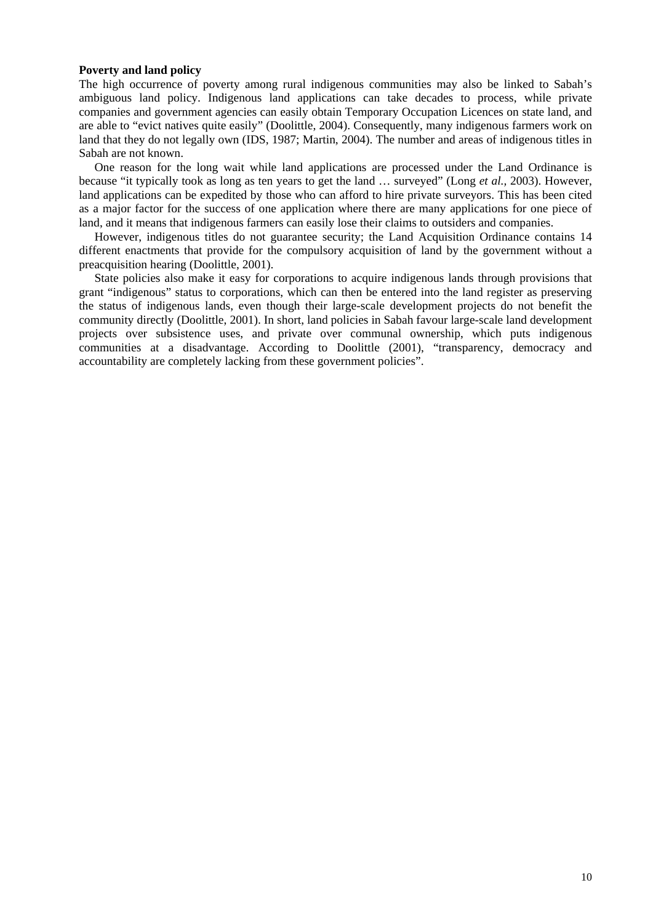#### **Poverty and land policy**

The high occurrence of poverty among rural indigenous communities may also be linked to Sabah's ambiguous land policy. Indigenous land applications can take decades to process, while private companies and government agencies can easily obtain Temporary Occupation Licences on state land, and are able to "evict natives quite easily" (Doolittle, 2004). Consequently, many indigenous farmers work on land that they do not legally own (IDS, 1987; Martin, 2004). The number and areas of indigenous titles in Sabah are not known.

One reason for the long wait while land applications are processed under the Land Ordinance is because "it typically took as long as ten years to get the land … surveyed" (Long *et al.,* 2003). However, land applications can be expedited by those who can afford to hire private surveyors. This has been cited as a major factor for the success of one application where there are many applications for one piece of land, and it means that indigenous farmers can easily lose their claims to outsiders and companies.

However, indigenous titles do not guarantee security; the Land Acquisition Ordinance contains 14 different enactments that provide for the compulsory acquisition of land by the government without a preacquisition hearing (Doolittle, 2001).

State policies also make it easy for corporations to acquire indigenous lands through provisions that grant "indigenous" status to corporations, which can then be entered into the land register as preserving the status of indigenous lands, even though their large-scale development projects do not benefit the community directly (Doolittle, 2001). In short, land policies in Sabah favour large-scale land development projects over subsistence uses, and private over communal ownership, which puts indigenous communities at a disadvantage. According to Doolittle (2001), "transparency, democracy and accountability are completely lacking from these government policies".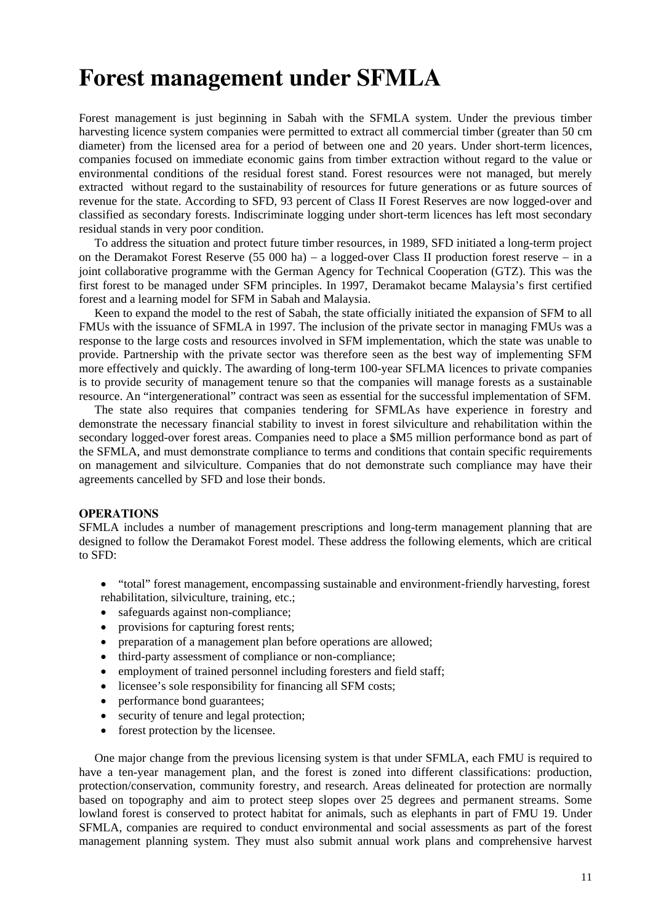## **Forest management under SFMLA**

Forest management is just beginning in Sabah with the SFMLA system. Under the previous timber harvesting licence system companies were permitted to extract all commercial timber (greater than 50 cm diameter) from the licensed area for a period of between one and 20 years. Under short-term licences, companies focused on immediate economic gains from timber extraction without regard to the value or environmental conditions of the residual forest stand. Forest resources were not managed, but merely extracted without regard to the sustainability of resources for future generations or as future sources of revenue for the state. According to SFD, 93 percent of Class II Forest Reserves are now logged-over and classified as secondary forests. Indiscriminate logging under short-term licences has left most secondary residual stands in very poor condition.

To address the situation and protect future timber resources, in 1989, SFD initiated a long-term project on the Deramakot Forest Reserve (55 000 ha) − a logged-over Class II production forest reserve − in a joint collaborative programme with the German Agency for Technical Cooperation (GTZ). This was the first forest to be managed under SFM principles. In 1997, Deramakot became Malaysia's first certified forest and a learning model for SFM in Sabah and Malaysia.

Keen to expand the model to the rest of Sabah, the state officially initiated the expansion of SFM to all FMUs with the issuance of SFMLA in 1997. The inclusion of the private sector in managing FMUs was a response to the large costs and resources involved in SFM implementation, which the state was unable to provide. Partnership with the private sector was therefore seen as the best way of implementing SFM more effectively and quickly. The awarding of long-term 100-year SFLMA licences to private companies is to provide security of management tenure so that the companies will manage forests as a sustainable resource. An "intergenerational" contract was seen as essential for the successful implementation of SFM.

The state also requires that companies tendering for SFMLAs have experience in forestry and demonstrate the necessary financial stability to invest in forest silviculture and rehabilitation within the secondary logged-over forest areas. Companies need to place a \$M5 million performance bond as part of the SFMLA, and must demonstrate compliance to terms and conditions that contain specific requirements on management and silviculture. Companies that do not demonstrate such compliance may have their agreements cancelled by SFD and lose their bonds.

#### **OPERATIONS**

SFMLA includes a number of management prescriptions and long-term management planning that are designed to follow the Deramakot Forest model. These address the following elements, which are critical to SFD:

- "total" forest management, encompassing sustainable and environment-friendly harvesting, forest rehabilitation, silviculture, training, etc.;
- safeguards against non-compliance;
- provisions for capturing forest rents;
- preparation of a management plan before operations are allowed;
- third-party assessment of compliance or non-compliance;
- employment of trained personnel including foresters and field staff;
- licensee's sole responsibility for financing all SFM costs;
- performance bond guarantees;
- security of tenure and legal protection;
- forest protection by the licensee.

One major change from the previous licensing system is that under SFMLA, each FMU is required to have a ten-year management plan, and the forest is zoned into different classifications: production, protection/conservation, community forestry, and research. Areas delineated for protection are normally based on topography and aim to protect steep slopes over 25 degrees and permanent streams. Some lowland forest is conserved to protect habitat for animals, such as elephants in part of FMU 19. Under SFMLA, companies are required to conduct environmental and social assessments as part of the forest management planning system. They must also submit annual work plans and comprehensive harvest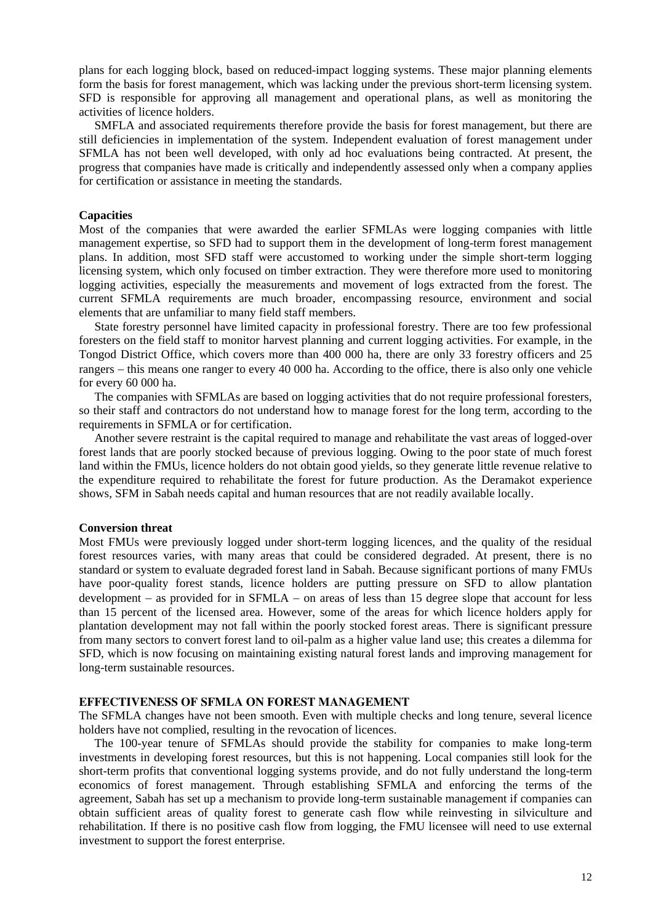plans for each logging block, based on reduced-impact logging systems. These major planning elements form the basis for forest management, which was lacking under the previous short-term licensing system. SFD is responsible for approving all management and operational plans, as well as monitoring the activities of licence holders.

SMFLA and associated requirements therefore provide the basis for forest management, but there are still deficiencies in implementation of the system. Independent evaluation of forest management under SFMLA has not been well developed, with only ad hoc evaluations being contracted. At present, the progress that companies have made is critically and independently assessed only when a company applies for certification or assistance in meeting the standards.

### **Capacities**

Most of the companies that were awarded the earlier SFMLAs were logging companies with little management expertise, so SFD had to support them in the development of long-term forest management plans. In addition, most SFD staff were accustomed to working under the simple short-term logging licensing system, which only focused on timber extraction. They were therefore more used to monitoring logging activities, especially the measurements and movement of logs extracted from the forest. The current SFMLA requirements are much broader, encompassing resource, environment and social elements that are unfamiliar to many field staff members.

State forestry personnel have limited capacity in professional forestry. There are too few professional foresters on the field staff to monitor harvest planning and current logging activities. For example, in the Tongod District Office, which covers more than 400 000 ha, there are only 33 forestry officers and 25 rangers − this means one ranger to every 40 000 ha. According to the office, there is also only one vehicle for every 60 000 ha.

The companies with SFMLAs are based on logging activities that do not require professional foresters, so their staff and contractors do not understand how to manage forest for the long term, according to the requirements in SFMLA or for certification.

Another severe restraint is the capital required to manage and rehabilitate the vast areas of logged-over forest lands that are poorly stocked because of previous logging. Owing to the poor state of much forest land within the FMUs, licence holders do not obtain good yields, so they generate little revenue relative to the expenditure required to rehabilitate the forest for future production. As the Deramakot experience shows, SFM in Sabah needs capital and human resources that are not readily available locally.

#### **Conversion threat**

Most FMUs were previously logged under short-term logging licences, and the quality of the residual forest resources varies, with many areas that could be considered degraded. At present, there is no standard or system to evaluate degraded forest land in Sabah. Because significant portions of many FMUs have poor-quality forest stands, licence holders are putting pressure on SFD to allow plantation development − as provided for in SFMLA − on areas of less than 15 degree slope that account for less than 15 percent of the licensed area. However, some of the areas for which licence holders apply for plantation development may not fall within the poorly stocked forest areas. There is significant pressure from many sectors to convert forest land to oil-palm as a higher value land use; this creates a dilemma for SFD, which is now focusing on maintaining existing natural forest lands and improving management for long-term sustainable resources.

#### **EFFECTIVENESS OF SFMLA ON FOREST MANAGEMENT**

The SFMLA changes have not been smooth. Even with multiple checks and long tenure, several licence holders have not complied, resulting in the revocation of licences.

The 100-year tenure of SFMLAs should provide the stability for companies to make long-term investments in developing forest resources, but this is not happening. Local companies still look for the short-term profits that conventional logging systems provide, and do not fully understand the long-term economics of forest management. Through establishing SFMLA and enforcing the terms of the agreement, Sabah has set up a mechanism to provide long-term sustainable management if companies can obtain sufficient areas of quality forest to generate cash flow while reinvesting in silviculture and rehabilitation. If there is no positive cash flow from logging, the FMU licensee will need to use external investment to support the forest enterprise.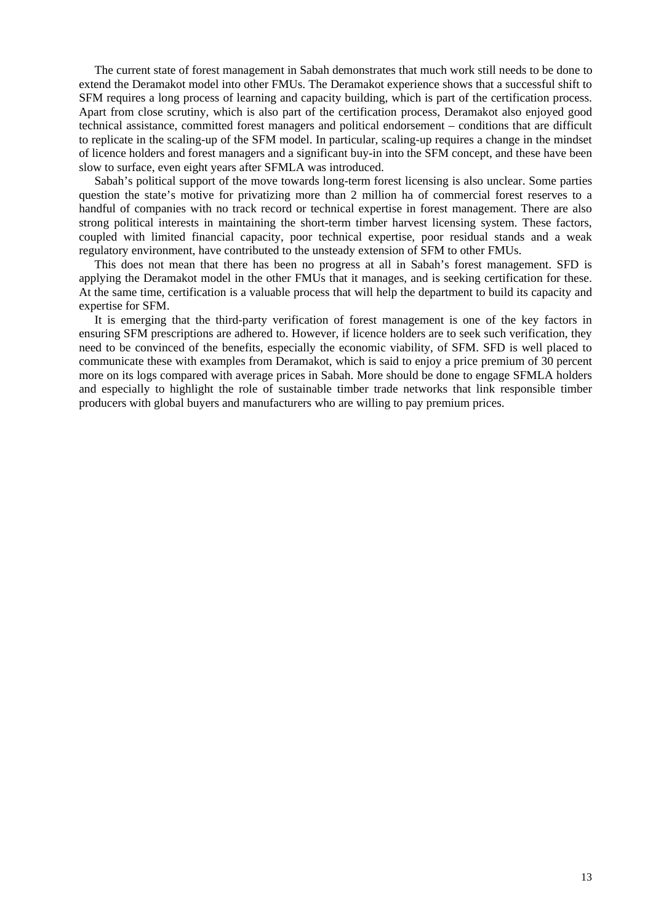The current state of forest management in Sabah demonstrates that much work still needs to be done to extend the Deramakot model into other FMUs. The Deramakot experience shows that a successful shift to SFM requires a long process of learning and capacity building, which is part of the certification process. Apart from close scrutiny, which is also part of the certification process, Deramakot also enjoyed good technical assistance, committed forest managers and political endorsement – conditions that are difficult to replicate in the scaling-up of the SFM model. In particular, scaling-up requires a change in the mindset of licence holders and forest managers and a significant buy-in into the SFM concept, and these have been slow to surface, even eight years after SFMLA was introduced.

Sabah's political support of the move towards long-term forest licensing is also unclear. Some parties question the state's motive for privatizing more than 2 million ha of commercial forest reserves to a handful of companies with no track record or technical expertise in forest management. There are also strong political interests in maintaining the short-term timber harvest licensing system. These factors, coupled with limited financial capacity, poor technical expertise, poor residual stands and a weak regulatory environment, have contributed to the unsteady extension of SFM to other FMUs.

This does not mean that there has been no progress at all in Sabah's forest management. SFD is applying the Deramakot model in the other FMUs that it manages, and is seeking certification for these. At the same time, certification is a valuable process that will help the department to build its capacity and expertise for SFM.

It is emerging that the third-party verification of forest management is one of the key factors in ensuring SFM prescriptions are adhered to. However, if licence holders are to seek such verification, they need to be convinced of the benefits, especially the economic viability, of SFM. SFD is well placed to communicate these with examples from Deramakot, which is said to enjoy a price premium of 30 percent more on its logs compared with average prices in Sabah. More should be done to engage SFMLA holders and especially to highlight the role of sustainable timber trade networks that link responsible timber producers with global buyers and manufacturers who are willing to pay premium prices.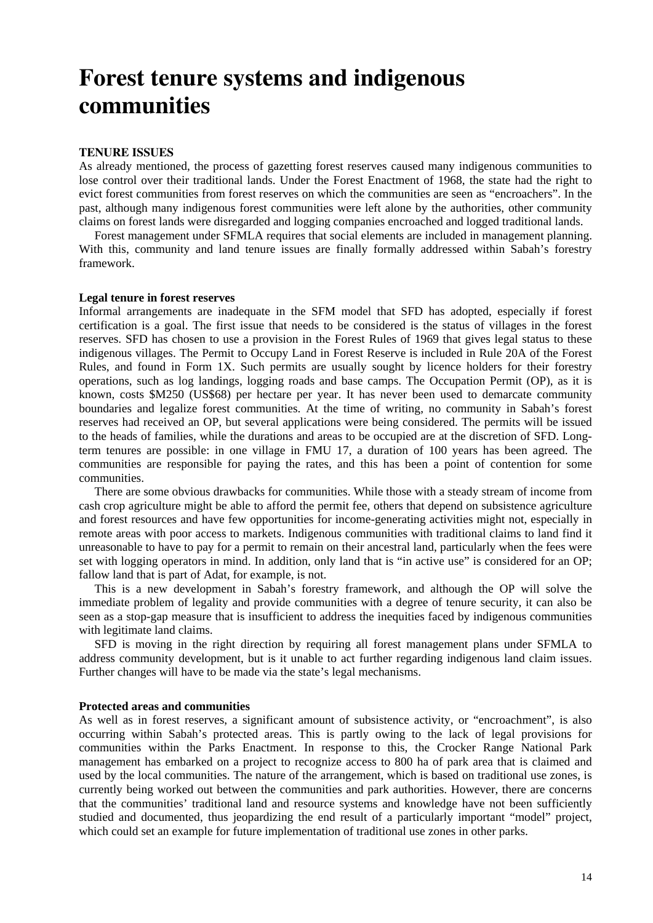## **Forest tenure systems and indigenous communities**

### **TENURE ISSUES**

As already mentioned, the process of gazetting forest reserves caused many indigenous communities to lose control over their traditional lands. Under the Forest Enactment of 1968, the state had the right to evict forest communities from forest reserves on which the communities are seen as "encroachers". In the past, although many indigenous forest communities were left alone by the authorities, other community claims on forest lands were disregarded and logging companies encroached and logged traditional lands.

Forest management under SFMLA requires that social elements are included in management planning. With this, community and land tenure issues are finally formally addressed within Sabah's forestry framework.

#### **Legal tenure in forest reserves**

Informal arrangements are inadequate in the SFM model that SFD has adopted, especially if forest certification is a goal. The first issue that needs to be considered is the status of villages in the forest reserves. SFD has chosen to use a provision in the Forest Rules of 1969 that gives legal status to these indigenous villages. The Permit to Occupy Land in Forest Reserve is included in Rule 20A of the Forest Rules, and found in Form 1X. Such permits are usually sought by licence holders for their forestry operations, such as log landings, logging roads and base camps. The Occupation Permit (OP), as it is known, costs \$M250 (US\$68) per hectare per year. It has never been used to demarcate community boundaries and legalize forest communities. At the time of writing, no community in Sabah's forest reserves had received an OP, but several applications were being considered. The permits will be issued to the heads of families, while the durations and areas to be occupied are at the discretion of SFD. Longterm tenures are possible: in one village in FMU 17, a duration of 100 years has been agreed. The communities are responsible for paying the rates, and this has been a point of contention for some communities.

There are some obvious drawbacks for communities. While those with a steady stream of income from cash crop agriculture might be able to afford the permit fee, others that depend on subsistence agriculture and forest resources and have few opportunities for income-generating activities might not, especially in remote areas with poor access to markets. Indigenous communities with traditional claims to land find it unreasonable to have to pay for a permit to remain on their ancestral land, particularly when the fees were set with logging operators in mind. In addition, only land that is "in active use" is considered for an OP; fallow land that is part of Adat, for example, is not.

This is a new development in Sabah's forestry framework, and although the OP will solve the immediate problem of legality and provide communities with a degree of tenure security, it can also be seen as a stop-gap measure that is insufficient to address the inequities faced by indigenous communities with legitimate land claims.

SFD is moving in the right direction by requiring all forest management plans under SFMLA to address community development, but is it unable to act further regarding indigenous land claim issues. Further changes will have to be made via the state's legal mechanisms.

### **Protected areas and communities**

As well as in forest reserves, a significant amount of subsistence activity, or "encroachment", is also occurring within Sabah's protected areas. This is partly owing to the lack of legal provisions for communities within the Parks Enactment. In response to this, the Crocker Range National Park management has embarked on a project to recognize access to 800 ha of park area that is claimed and used by the local communities. The nature of the arrangement, which is based on traditional use zones, is currently being worked out between the communities and park authorities. However, there are concerns that the communities' traditional land and resource systems and knowledge have not been sufficiently studied and documented, thus jeopardizing the end result of a particularly important "model" project, which could set an example for future implementation of traditional use zones in other parks.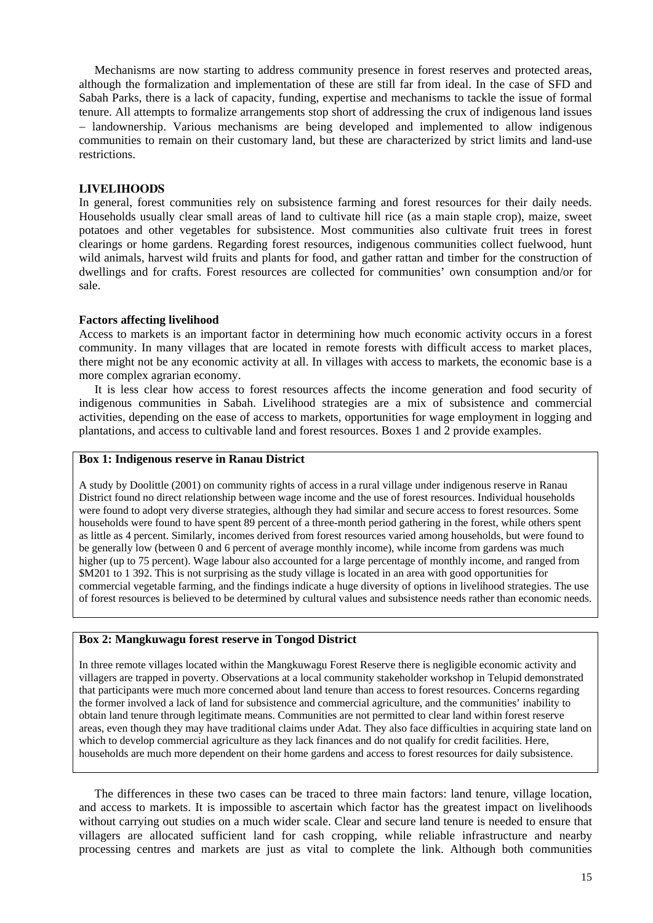Mechanisms are now starting to address community presence in forest reserves and protected areas, although the formalization and implementation of these are still far from ideal. In the case of SFD and Sabah Parks, there is a lack of capacity, funding, expertise and mechanisms to tackle the issue of formal tenure. All attempts to formalize arrangements stop short of addressing the crux of indigenous land issues − landownership. Various mechanisms are being developed and implemented to allow indigenous communities to remain on their customary land, but these are characterized by strict limits and land-use restrictions.

#### **LIVELIHOODS**

In general, forest communities rely on subsistence farming and forest resources for their daily needs. Households usually clear small areas of land to cultivate hill rice (as a main staple crop), maize, sweet potatoes and other vegetables for subsistence. Most communities also cultivate fruit trees in forest clearings or home gardens. Regarding forest resources, indigenous communities collect fuelwood, hunt wild animals, harvest wild fruits and plants for food, and gather rattan and timber for the construction of dwellings and for crafts. Forest resources are collected for communities' own consumption and/or for sale.

### **Factors affecting livelihood**

Access to markets is an important factor in determining how much economic activity occurs in a forest community. In many villages that are located in remote forests with difficult access to market places, there might not be any economic activity at all. In villages with access to markets, the economic base is a more complex agrarian economy.

It is less clear how access to forest resources affects the income generation and food security of indigenous communities in Sabah. Livelihood strategies are a mix of subsistence and commercial activities, depending on the ease of access to markets, opportunities for wage employment in logging and plantations, and access to cultivable land and forest resources. Boxes 1 and 2 provide examples.

#### **Box 1: Indigenous reserve in Ranau District**

A study by Doolittle (2001) on community rights of access in a rural village under indigenous reserve in Ranau District found no direct relationship between wage income and the use of forest resources. Individual households were found to adopt very diverse strategies, although they had similar and secure access to forest resources. Some households were found to have spent 89 percent of a three-month period gathering in the forest, while others spent as little as 4 percent. Similarly, incomes derived from forest resources varied among households, but were found to be generally low (between 0 and 6 percent of average monthly income), while income from gardens was much higher (up to 75 percent). Wage labour also accounted for a large percentage of monthly income, and ranged from \$M201 to 1 392. This is not surprising as the study village is located in an area with good opportunities for commercial vegetable farming, and the findings indicate a huge diversity of options in livelihood strategies. The use of forest resources is believed to be determined by cultural values and subsistence needs rather than economic needs.

## **Box 2: Mangkuwagu forest reserve in Tongod District**

In three remote villages located within the Mangkuwagu Forest Reserve there is negligible economic activity and villagers are trapped in poverty. Observations at a local community stakeholder workshop in Telupid demonstrated that participants were much more concerned about land tenure than access to forest resources. Concerns regarding the former involved a lack of land for subsistence and commercial agriculture, and the communities' inability to obtain land tenure through legitimate means. Communities are not permitted to clear land within forest reserve areas, even though they may have traditional claims under Adat. They also face difficulties in acquiring state land on which to develop commercial agriculture as they lack finances and do not qualify for credit facilities. Here, households are much more dependent on their home gardens and access to forest resources for daily subsistence.

The differences in these two cases can be traced to three main factors: land tenure, village location, and access to markets. It is impossible to ascertain which factor has the greatest impact on livelihoods without carrying out studies on a much wider scale. Clear and secure land tenure is needed to ensure that villagers are allocated sufficient land for cash cropping, while reliable infrastructure and nearby processing centres and markets are just as vital to complete the link. Although both communities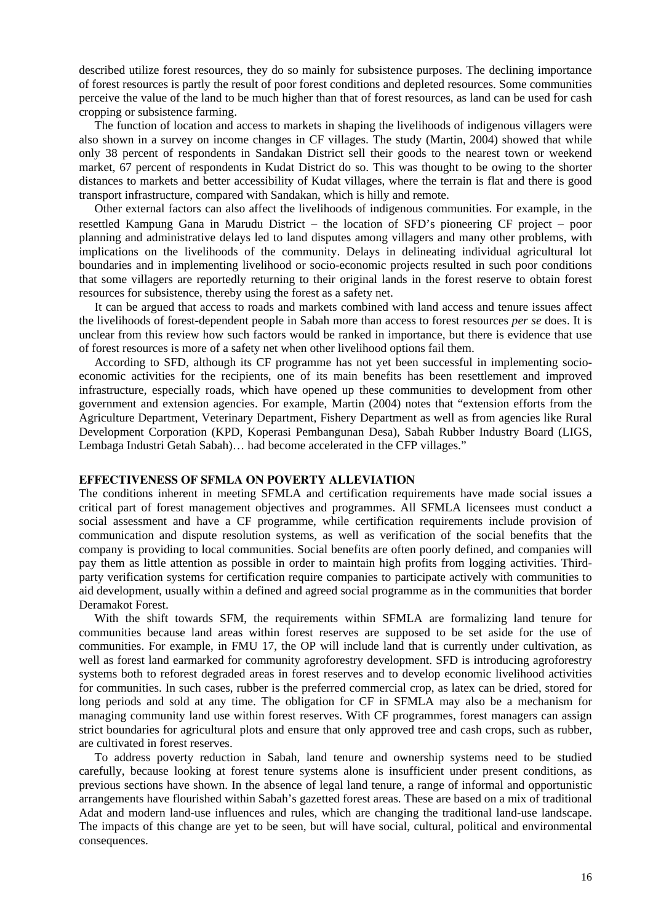described utilize forest resources, they do so mainly for subsistence purposes. The declining importance of forest resources is partly the result of poor forest conditions and depleted resources. Some communities perceive the value of the land to be much higher than that of forest resources, as land can be used for cash cropping or subsistence farming.

The function of location and access to markets in shaping the livelihoods of indigenous villagers were also shown in a survey on income changes in CF villages. The study (Martin, 2004) showed that while only 38 percent of respondents in Sandakan District sell their goods to the nearest town or weekend market, 67 percent of respondents in Kudat District do so. This was thought to be owing to the shorter distances to markets and better accessibility of Kudat villages, where the terrain is flat and there is good transport infrastructure, compared with Sandakan, which is hilly and remote.

Other external factors can also affect the livelihoods of indigenous communities. For example, in the resettled Kampung Gana in Marudu District − the location of SFD's pioneering CF project − poor planning and administrative delays led to land disputes among villagers and many other problems, with implications on the livelihoods of the community. Delays in delineating individual agricultural lot boundaries and in implementing livelihood or socio-economic projects resulted in such poor conditions that some villagers are reportedly returning to their original lands in the forest reserve to obtain forest resources for subsistence, thereby using the forest as a safety net.

It can be argued that access to roads and markets combined with land access and tenure issues affect the livelihoods of forest-dependent people in Sabah more than access to forest resources *per se* does. It is unclear from this review how such factors would be ranked in importance, but there is evidence that use of forest resources is more of a safety net when other livelihood options fail them.

According to SFD, although its CF programme has not yet been successful in implementing socioeconomic activities for the recipients, one of its main benefits has been resettlement and improved infrastructure, especially roads, which have opened up these communities to development from other government and extension agencies. For example, Martin (2004) notes that "extension efforts from the Agriculture Department, Veterinary Department, Fishery Department as well as from agencies like Rural Development Corporation (KPD, Koperasi Pembangunan Desa), Sabah Rubber Industry Board (LIGS, Lembaga Industri Getah Sabah)… had become accelerated in the CFP villages."

### **EFFECTIVENESS OF SFMLA ON POVERTY ALLEVIATION**

The conditions inherent in meeting SFMLA and certification requirements have made social issues a critical part of forest management objectives and programmes. All SFMLA licensees must conduct a social assessment and have a CF programme, while certification requirements include provision of communication and dispute resolution systems, as well as verification of the social benefits that the company is providing to local communities. Social benefits are often poorly defined, and companies will pay them as little attention as possible in order to maintain high profits from logging activities. Thirdparty verification systems for certification require companies to participate actively with communities to aid development, usually within a defined and agreed social programme as in the communities that border Deramakot Forest.

With the shift towards SFM, the requirements within SFMLA are formalizing land tenure for communities because land areas within forest reserves are supposed to be set aside for the use of communities. For example, in FMU 17, the OP will include land that is currently under cultivation, as well as forest land earmarked for community agroforestry development. SFD is introducing agroforestry systems both to reforest degraded areas in forest reserves and to develop economic livelihood activities for communities. In such cases, rubber is the preferred commercial crop, as latex can be dried, stored for long periods and sold at any time. The obligation for CF in SFMLA may also be a mechanism for managing community land use within forest reserves. With CF programmes, forest managers can assign strict boundaries for agricultural plots and ensure that only approved tree and cash crops, such as rubber, are cultivated in forest reserves.

To address poverty reduction in Sabah, land tenure and ownership systems need to be studied carefully, because looking at forest tenure systems alone is insufficient under present conditions, as previous sections have shown. In the absence of legal land tenure, a range of informal and opportunistic arrangements have flourished within Sabah's gazetted forest areas. These are based on a mix of traditional Adat and modern land-use influences and rules, which are changing the traditional land-use landscape. The impacts of this change are yet to be seen, but will have social, cultural, political and environmental consequences.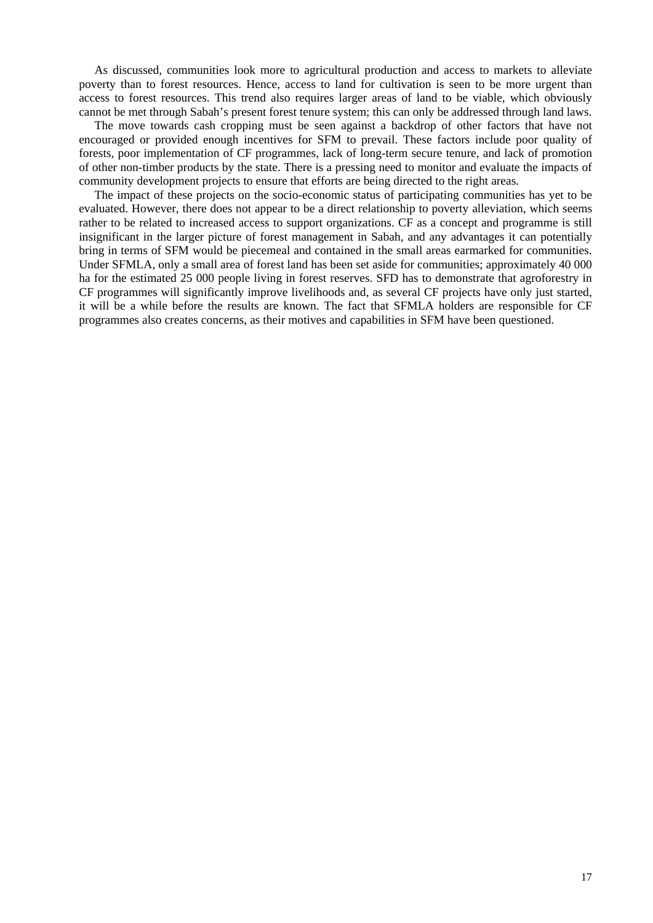As discussed, communities look more to agricultural production and access to markets to alleviate poverty than to forest resources. Hence, access to land for cultivation is seen to be more urgent than access to forest resources. This trend also requires larger areas of land to be viable, which obviously cannot be met through Sabah's present forest tenure system; this can only be addressed through land laws.

The move towards cash cropping must be seen against a backdrop of other factors that have not encouraged or provided enough incentives for SFM to prevail. These factors include poor quality of forests, poor implementation of CF programmes, lack of long-term secure tenure, and lack of promotion of other non-timber products by the state. There is a pressing need to monitor and evaluate the impacts of community development projects to ensure that efforts are being directed to the right areas.

The impact of these projects on the socio-economic status of participating communities has yet to be evaluated. However, there does not appear to be a direct relationship to poverty alleviation, which seems rather to be related to increased access to support organizations. CF as a concept and programme is still insignificant in the larger picture of forest management in Sabah, and any advantages it can potentially bring in terms of SFM would be piecemeal and contained in the small areas earmarked for communities. Under SFMLA, only a small area of forest land has been set aside for communities; approximately 40 000 ha for the estimated 25 000 people living in forest reserves. SFD has to demonstrate that agroforestry in CF programmes will significantly improve livelihoods and, as several CF projects have only just started, it will be a while before the results are known. The fact that SFMLA holders are responsible for CF programmes also creates concerns, as their motives and capabilities in SFM have been questioned.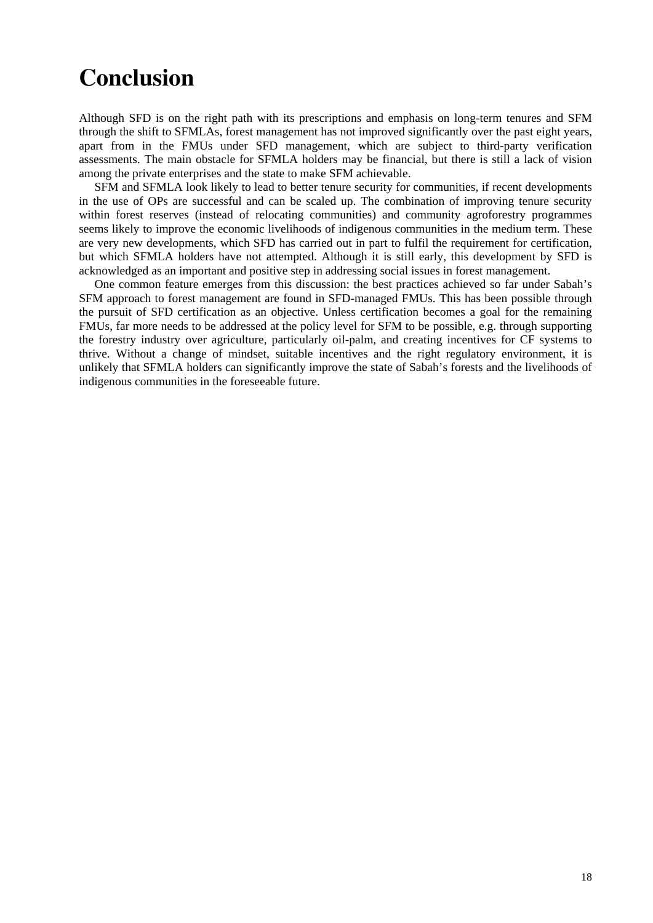## **Conclusion**

Although SFD is on the right path with its prescriptions and emphasis on long-term tenures and SFM through the shift to SFMLAs, forest management has not improved significantly over the past eight years, apart from in the FMUs under SFD management, which are subject to third-party verification assessments. The main obstacle for SFMLA holders may be financial, but there is still a lack of vision among the private enterprises and the state to make SFM achievable.

SFM and SFMLA look likely to lead to better tenure security for communities, if recent developments in the use of OPs are successful and can be scaled up. The combination of improving tenure security within forest reserves (instead of relocating communities) and community agroforestry programmes seems likely to improve the economic livelihoods of indigenous communities in the medium term. These are very new developments, which SFD has carried out in part to fulfil the requirement for certification, but which SFMLA holders have not attempted. Although it is still early, this development by SFD is acknowledged as an important and positive step in addressing social issues in forest management.

One common feature emerges from this discussion: the best practices achieved so far under Sabah's SFM approach to forest management are found in SFD-managed FMUs. This has been possible through the pursuit of SFD certification as an objective. Unless certification becomes a goal for the remaining FMUs, far more needs to be addressed at the policy level for SFM to be possible, e.g. through supporting the forestry industry over agriculture, particularly oil-palm, and creating incentives for CF systems to thrive. Without a change of mindset, suitable incentives and the right regulatory environment, it is unlikely that SFMLA holders can significantly improve the state of Sabah's forests and the livelihoods of indigenous communities in the foreseeable future.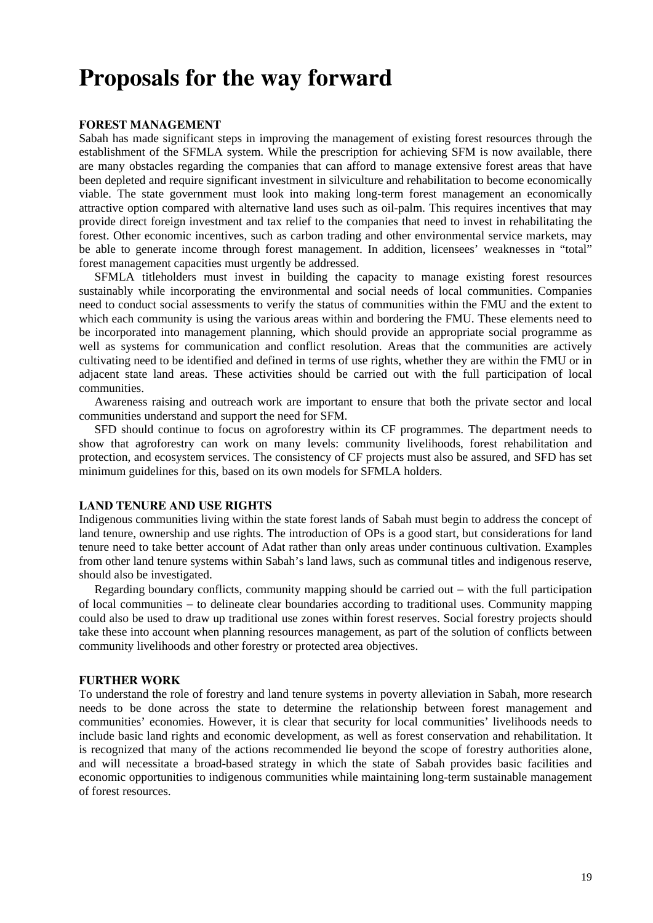## **Proposals for the way forward**

#### **FOREST MANAGEMENT**

Sabah has made significant steps in improving the management of existing forest resources through the establishment of the SFMLA system. While the prescription for achieving SFM is now available, there are many obstacles regarding the companies that can afford to manage extensive forest areas that have been depleted and require significant investment in silviculture and rehabilitation to become economically viable. The state government must look into making long-term forest management an economically attractive option compared with alternative land uses such as oil-palm. This requires incentives that may provide direct foreign investment and tax relief to the companies that need to invest in rehabilitating the forest. Other economic incentives, such as carbon trading and other environmental service markets, may be able to generate income through forest management. In addition, licensees' weaknesses in "total" forest management capacities must urgently be addressed.

SFMLA titleholders must invest in building the capacity to manage existing forest resources sustainably while incorporating the environmental and social needs of local communities. Companies need to conduct social assessments to verify the status of communities within the FMU and the extent to which each community is using the various areas within and bordering the FMU. These elements need to be incorporated into management planning, which should provide an appropriate social programme as well as systems for communication and conflict resolution. Areas that the communities are actively cultivating need to be identified and defined in terms of use rights, whether they are within the FMU or in adjacent state land areas. These activities should be carried out with the full participation of local communities.

Awareness raising and outreach work are important to ensure that both the private sector and local communities understand and support the need for SFM.

SFD should continue to focus on agroforestry within its CF programmes. The department needs to show that agroforestry can work on many levels: community livelihoods, forest rehabilitation and protection, and ecosystem services. The consistency of CF projects must also be assured, and SFD has set minimum guidelines for this, based on its own models for SFMLA holders.

#### **LAND TENURE AND USE RIGHTS**

Indigenous communities living within the state forest lands of Sabah must begin to address the concept of land tenure, ownership and use rights. The introduction of OPs is a good start, but considerations for land tenure need to take better account of Adat rather than only areas under continuous cultivation. Examples from other land tenure systems within Sabah's land laws, such as communal titles and indigenous reserve, should also be investigated.

Regarding boundary conflicts, community mapping should be carried out − with the full participation of local communities − to delineate clear boundaries according to traditional uses. Community mapping could also be used to draw up traditional use zones within forest reserves. Social forestry projects should take these into account when planning resources management, as part of the solution of conflicts between community livelihoods and other forestry or protected area objectives.

### **FURTHER WORK**

To understand the role of forestry and land tenure systems in poverty alleviation in Sabah, more research needs to be done across the state to determine the relationship between forest management and communities' economies. However, it is clear that security for local communities' livelihoods needs to include basic land rights and economic development, as well as forest conservation and rehabilitation. It is recognized that many of the actions recommended lie beyond the scope of forestry authorities alone, and will necessitate a broad-based strategy in which the state of Sabah provides basic facilities and economic opportunities to indigenous communities while maintaining long-term sustainable management of forest resources.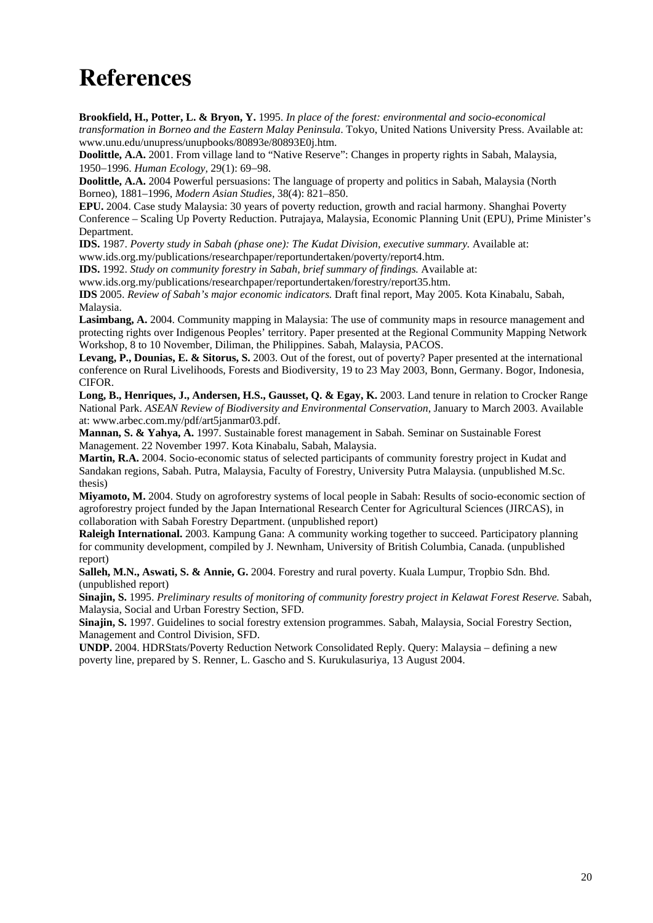## **References**

**Brookfield, H., Potter, L. & Bryon, Y.** 1995. *In place of the forest: environmental and socio-economical transformation in Borneo and the Eastern Malay Peninsula*. Tokyo, United Nations University Press. Available at: www.unu.edu/unupress/unupbooks/80893e/80893E0j.htm.

**Doolittle, A.A.** 2001. From village land to "Native Reserve": Changes in property rights in Sabah, Malaysia, 1950−1996. *Human Ecology,* 29(1): 69−98.

**Doolittle, A.A.** 2004 Powerful persuasions: The language of property and politics in Sabah, Malaysia (North Borneo), 1881–1996, *Modern Asian Studies,* 38(4): 821–850.

**EPU.** 2004. Case study Malaysia: 30 years of poverty reduction, growth and racial harmony. Shanghai Poverty Conference – Scaling Up Poverty Reduction. Putrajaya, Malaysia, Economic Planning Unit (EPU), Prime Minister's Department.

**IDS.** 1987. *Poverty study in Sabah (phase one): The Kudat Division, executive summary.* Available at: www.ids.org.my/publications/researchpaper/reportundertaken/poverty/report4.htm.

**IDS.** 1992. *Study on community forestry in Sabah, brief summary of findings.* Available at:

www.ids.org.my/publications/researchpaper/reportundertaken/forestry/report35.htm.

**IDS** 2005. *Review of Sabah's major economic indicators.* Draft final report, May 2005. Kota Kinabalu, Sabah, Malaysia.

**Lasimbang, A.** 2004. Community mapping in Malaysia: The use of community maps in resource management and protecting rights over Indigenous Peoples' territory. Paper presented at the Regional Community Mapping Network Workshop, 8 to 10 November, Diliman, the Philippines. Sabah, Malaysia, PACOS.

**Levang, P., Dounias, E. & Sitorus, S.** 2003. Out of the forest, out of poverty? Paper presented at the international conference on Rural Livelihoods, Forests and Biodiversity, 19 to 23 May 2003, Bonn, Germany. Bogor, Indonesia, CIFOR.

**Long, B., Henriques, J., Andersen, H.S., Gausset, Q. & Egay, K.** 2003. Land tenure in relation to Crocker Range National Park. *ASEAN Review of Biodiversity and Environmental Conservation*, January to March 2003. Available at: www.arbec.com.my/pdf/art5janmar03.pdf.

**Mannan, S. & Yahya, A.** 1997. Sustainable forest management in Sabah. Seminar on Sustainable Forest Management. 22 November 1997. Kota Kinabalu, Sabah, Malaysia.

**Martin, R.A.** 2004. Socio-economic status of selected participants of community forestry project in Kudat and Sandakan regions, Sabah. Putra, Malaysia, Faculty of Forestry, University Putra Malaysia. (unpublished M.Sc. thesis)

**Miyamoto, M.** 2004. Study on agroforestry systems of local people in Sabah: Results of socio-economic section of agroforestry project funded by the Japan International Research Center for Agricultural Sciences (JIRCAS), in collaboration with Sabah Forestry Department. (unpublished report)

**Raleigh International.** 2003. Kampung Gana: A community working together to succeed. Participatory planning for community development, compiled by J. Newnham, University of British Columbia, Canada. (unpublished report)

**Salleh, M.N., Aswati, S. & Annie, G.** 2004. Forestry and rural poverty. Kuala Lumpur, Tropbio Sdn. Bhd. (unpublished report)

**Sinajin, S.** 1995. *Preliminary results of monitoring of community forestry project in Kelawat Forest Reserve.* Sabah, Malaysia, Social and Urban Forestry Section, SFD.

**Sinajin, S.** 1997. Guidelines to social forestry extension programmes. Sabah, Malaysia, Social Forestry Section, Management and Control Division, SFD.

**UNDP.** 2004. HDRStats/Poverty Reduction Network Consolidated Reply. Query: Malaysia – defining a new poverty line, prepared by S. Renner, L. Gascho and S. Kurukulasuriya, 13 August 2004.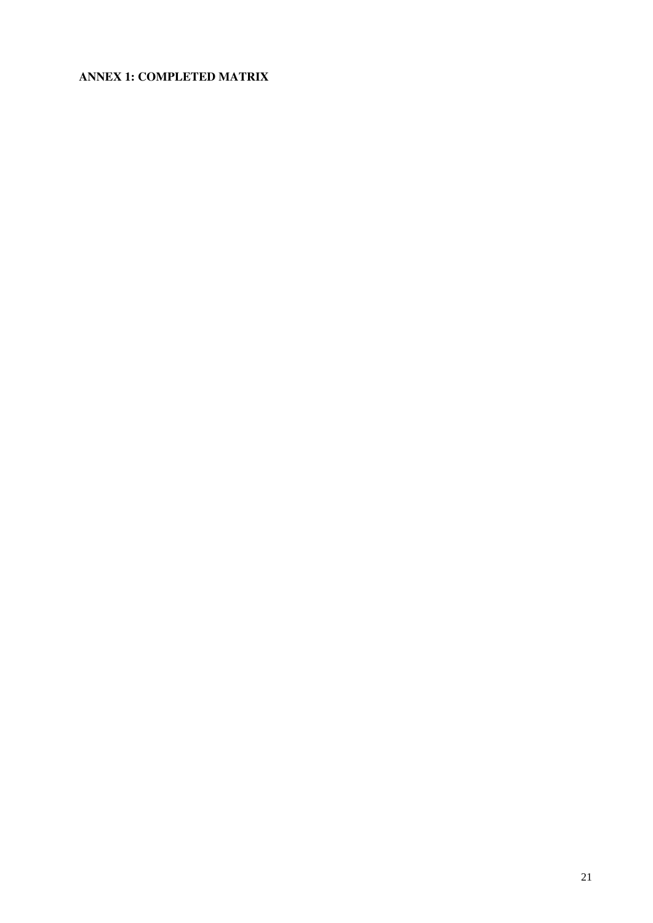## **ANNEX 1: COMPLETED MATRIX**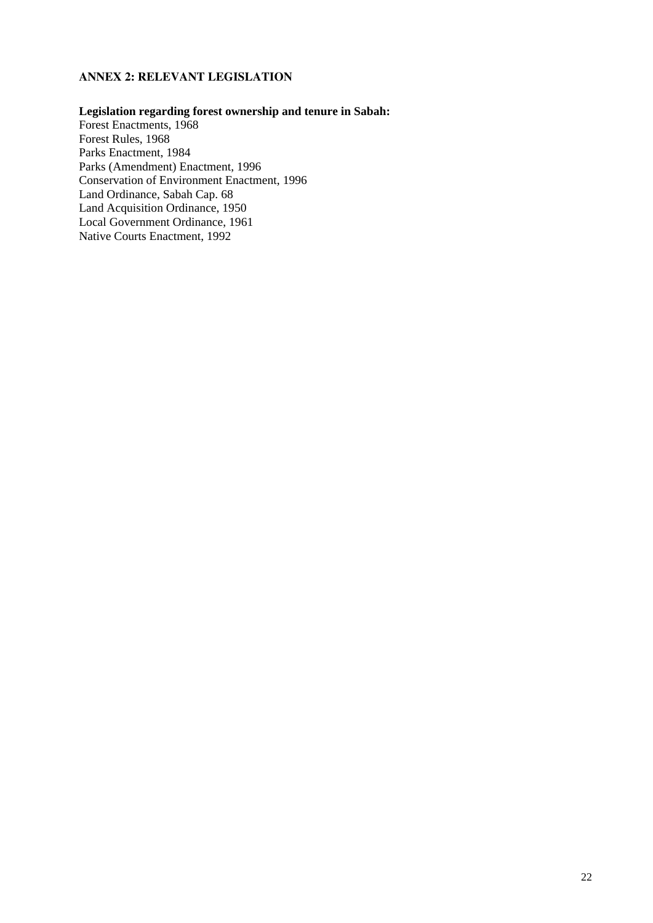## **ANNEX 2: RELEVANT LEGISLATION**

## **Legislation regarding forest ownership and tenure in Sabah:**

Forest Enactments, 1968 Forest Rules, 1968 Parks Enactment, 1984 Parks (Amendment) Enactment, 1996 Conservation of Environment Enactment, 1996 Land Ordinance, Sabah Cap. 68 Land Acquisition Ordinance, 1950 Local Government Ordinance, 1961 Native Courts Enactment, 1992